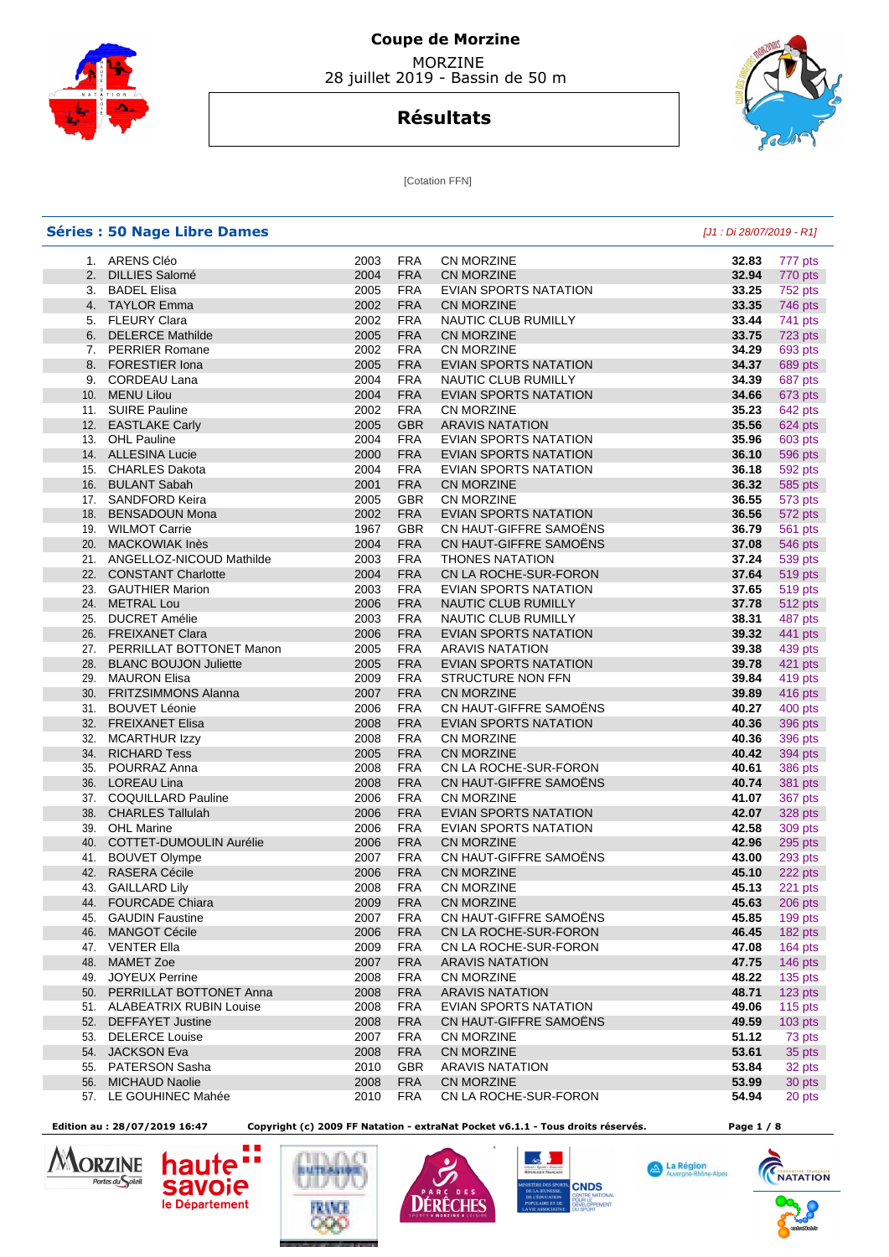

# **Coupe de Morzine**  MORZINE

28 juillet 2019 - Bassin de 50 m





[Cotation FFN]

|     | <b>Séries : 50 Nage Libre Dames</b>      |      |            |                              | [J1 : Di 28/07/2019 - R1] |           |
|-----|------------------------------------------|------|------------|------------------------------|---------------------------|-----------|
|     | 1. ARENS Cléo                            | 2003 | <b>FRA</b> | <b>CN MORZINE</b>            | 32.83                     | 777 pts   |
|     | 2. DILLIES Salomé                        | 2004 | <b>FRA</b> | <b>CN MORZINE</b>            | 32.94                     | 770 pts   |
|     | 3. BADEL Elisa                           | 2005 | <b>FRA</b> | EVIAN SPORTS NATATION        | 33.25                     | 752 pts   |
|     | 4. TAYLOR Emma                           | 2002 | <b>FRA</b> | <b>CN MORZINE</b>            | 33.35                     | 746 pts   |
|     | 5. FLEURY Clara                          | 2002 | <b>FRA</b> | NAUTIC CLUB RUMILLY          | 33.44                     | 741 pts   |
|     | 6. DELERCE Mathilde                      | 2005 | <b>FRA</b> | <b>CN MORZINE</b>            | 33.75                     | 723 pts   |
|     | 7. PERRIER Romane                        | 2002 | <b>FRA</b> | <b>CN MORZINE</b>            | 34.29                     | 693 pts   |
|     | 8. FORESTIER Iona                        | 2005 | <b>FRA</b> | EVIAN SPORTS NATATION        | 34.37                     | 689 pts   |
|     | 9. CORDEAU Lana                          | 2004 | <b>FRA</b> | NAUTIC CLUB RUMILLY          | 34.39                     | 687 pts   |
|     | 10. MENU Lilou                           | 2004 | <b>FRA</b> | EVIAN SPORTS NATATION        | 34.66                     | 673 pts   |
|     | 11. SUIRE Pauline                        | 2002 | <b>FRA</b> | <b>CN MORZINE</b>            | 35.23                     | 642 pts   |
|     | 12. EASTLAKE Carly                       | 2005 | <b>GBR</b> | <b>ARAVIS NATATION</b>       | 35.56                     | 624 pts   |
|     | 13. OHL Pauline                          | 2004 | <b>FRA</b> | EVIAN SPORTS NATATION        | 35.96                     | 603 pts   |
|     | 14. ALLESINA Lucie                       | 2000 | <b>FRA</b> | EVIAN SPORTS NATATION        | 36.10                     | 596 pts   |
|     | 15. CHARLES Dakota                       | 2004 | <b>FRA</b> | EVIAN SPORTS NATATION        | 36.18                     | 592 pts   |
|     | 16. BULANT Sabah                         | 2001 | <b>FRA</b> | <b>CN MORZINE</b>            | 36.32                     | 585 pts   |
|     | 17. SANDFORD Keira                       | 2005 | GBR        | CN MORZINE                   | 36.55                     | 573 pts   |
|     | 18. BENSADOUN Mona                       | 2002 | <b>FRA</b> | <b>EVIAN SPORTS NATATION</b> | 36.56                     | 572 pts   |
|     | 19. WILMOT Carrie                        | 1967 | <b>GBR</b> | CN HAUT-GIFFRE SAMOËNS       | 36.79                     |           |
|     | 20. MACKOWIAK Inès                       |      | <b>FRA</b> | CN HAUT-GIFFRE SAMOËNS       |                           | 561 pts   |
|     |                                          | 2004 |            |                              | 37.08                     | 546 pts   |
|     | 21. ANGELLOZ-NICOUD Mathilde             | 2003 | <b>FRA</b> | <b>THONES NATATION</b>       | 37.24                     | 539 pts   |
|     | 22. CONSTANT Charlotte                   | 2004 | <b>FRA</b> | CN LA ROCHE-SUR-FORON        | 37.64                     | 519 pts   |
|     | 23. GAUTHIER Marion                      | 2003 | <b>FRA</b> | EVIAN SPORTS NATATION        | 37.65                     | 519 pts   |
|     | 24. METRAL Lou                           | 2006 | <b>FRA</b> | NAUTIC CLUB RUMILLY          | 37.78                     | 512 pts   |
| 25. | <b>DUCRET Amélie</b>                     | 2003 | <b>FRA</b> | NAUTIC CLUB RUMILLY          | 38.31                     | 487 pts   |
|     | 26. FREIXANET Clara                      | 2006 | <b>FRA</b> | EVIAN SPORTS NATATION        | 39.32                     | 441 pts   |
|     | 27. PERRILLAT BOTTONET Manon             | 2005 | <b>FRA</b> | <b>ARAVIS NATATION</b>       | 39.38                     | 439 pts   |
|     | 28. BLANC BOUJON Juliette                | 2005 | <b>FRA</b> | EVIAN SPORTS NATATION        | 39.78                     | 421 pts   |
|     | 29. MAURON Elisa                         | 2009 | <b>FRA</b> | <b>STRUCTURE NON FFN</b>     | 39.84                     | 419 pts   |
|     | 30. FRITZSIMMONS Alanna                  | 2007 | <b>FRA</b> | CN MORZINE                   | 39.89                     | 416 pts   |
|     | 31. BOUVET Léonie                        | 2006 | <b>FRA</b> | CN HAUT-GIFFRE SAMOËNS       | 40.27                     | 400 pts   |
|     | 32. FREIXANET Elisa                      | 2008 | <b>FRA</b> | EVIAN SPORTS NATATION        | 40.36                     | 396 pts   |
| 32. | <b>MCARTHUR Izzy</b>                     | 2008 | <b>FRA</b> | CN MORZINE                   | 40.36                     | 396 pts   |
|     | 34. RICHARD Tess                         | 2005 | <b>FRA</b> | <b>CN MORZINE</b>            | 40.42                     | 394 pts   |
|     | 35. POURRAZ Anna                         | 2008 | <b>FRA</b> | CN LA ROCHE-SUR-FORON        | 40.61                     | 386 pts   |
|     | 36. LOREAU Lina                          | 2008 | <b>FRA</b> | CN HAUT-GIFFRE SAMOËNS       | 40.74                     | 381 pts   |
|     | 37. COQUILLARD Pauline                   | 2006 | <b>FRA</b> | <b>CN MORZINE</b>            | 41.07                     | 367 pts   |
|     | 38. CHARLES Tallulah                     | 2006 | <b>FRA</b> | EVIAN SPORTS NATATION        | 42.07                     | 328 pts   |
|     | 39. OHL Marine                           | 2006 | <b>FRA</b> | <b>EVIAN SPORTS NATATION</b> | 42.58                     | 309 pts   |
|     | 40. COTTET-DUMOULIN Aurélie              | 2006 | <b>FRA</b> | <b>CN MORZINE</b>            | 42.96                     | 295 pts   |
|     | 41. BOUVET Olympe                        | 2007 | <b>FRA</b> | CN HAUT-GIFFRE SAMOËNS       | 43.00                     | 293 pts   |
|     | 42. RASERA Cécile                        | 2006 | <b>FRA</b> | <b>CN MORZINE</b>            | 45.10                     | 222 pts   |
|     | 43. GAILLARD Lily                        | 2008 | <b>FRA</b> | <b>CN MORZINE</b>            | 45.13                     | 221 pts   |
|     | 44. FOURCADE Chiara                      | 2009 | <b>FRA</b> | <b>CN MORZINE</b>            | 45.63                     | 206 pts   |
| 45. | <b>GAUDIN Faustine</b>                   | 2007 | <b>FRA</b> | CN HAUT-GIFFRE SAMOENS       | 45.85                     | 199 pts   |
|     | 46. MANGOT Cécile                        | 2006 | <b>FRA</b> | CN LA ROCHE-SUR-FORON        | 46.45                     | 182 pts   |
|     | 47. VENTER Ella                          | 2009 | <b>FRA</b> | CN LA ROCHE-SUR-FORON        | 47.08                     | 164 pts   |
| 48. | <b>MAMET Zoe</b>                         | 2007 | <b>FRA</b> | <b>ARAVIS NATATION</b>       | 47.75                     | 146 pts   |
| 49. | <b>JOYEUX Perrine</b>                    | 2008 | <b>FRA</b> | CN MORZINE                   | 48.22                     | 135 pts   |
|     | 50. PERRILLAT BOTTONET Anna              | 2008 | <b>FRA</b> | <b>ARAVIS NATATION</b>       | 48.71                     | 123 pts   |
|     | 51. ALABEATRIX RUBIN Louise              | 2008 | FRA        | EVIAN SPORTS NATATION        | 49.06                     | 115 $pts$ |
|     | <b>DEFFAYET Justine</b>                  | 2008 | <b>FRA</b> | CN HAUT-GIFFRE SAMOËNS       | 49.59                     |           |
| 52. |                                          |      |            |                              |                           | $103$ pts |
| 53. | <b>DELERCE Louise</b><br>54. JACKSON Eva | 2007 | <b>FRA</b> | CN MORZINE                   | 51.12                     | 73 pts    |
|     |                                          | 2008 | <b>FRA</b> | CN MORZINE                   | 53.61                     | 35 pts    |
| 55. | <b>PATERSON Sasha</b>                    | 2010 | <b>GBR</b> | <b>ARAVIS NATATION</b>       | 53.84                     | 32 pts    |
| 56. | <b>MICHAUD Naolie</b>                    | 2008 | <b>FRA</b> | <b>CN MORZINE</b>            | 53.99                     | 30 pts    |
|     | 57. LE GOUHINEC Mahée                    | 2010 | <b>FRA</b> | CN LA ROCHE-SUR-FORON        | 54.94                     | 20 pts    |

hau

**savoie** 

le Département

H

**ULTEAST** 



 **Edition au : 28/07/2019 16:47 Copyright (c) 2009 FF Natation - extraNat Pocket v6.1.1 - Tous droits réservés. Page 1 / 8** 

**DÉRÊCHES** 

**CNDS** 



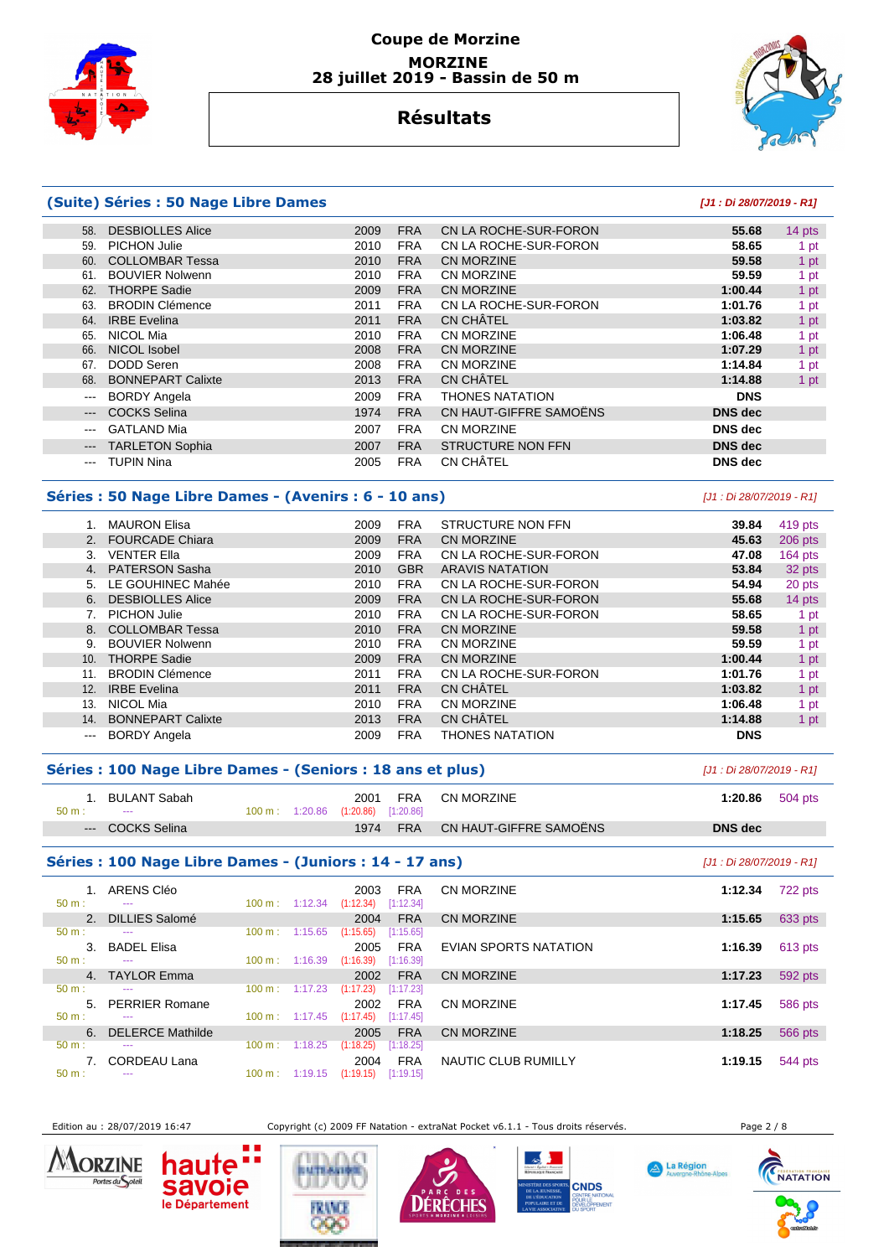



## **Résultats**

### **(Suite) Séries : 50 Nage Libre Dames [J1 : Di 28/07/2019 - R1]**

#### 58. DESBIOLLES Alice 2009 FRA CN LA ROCHE-SUR-FORON **55.68** 14 pts 59. PICHON Julie 2010 FRA CN LA ROCHE-SUR-FORON **58.65** 1 pt 60. COLLOMBAR Tessa 2010 FRA CN MORZINE **59.58** 1 pt 61. BOUVIER Nolwenn 2010 FRA CN MORZINE **59.59** 1 pt 62. THORPE Sadie 2009 FRA CN MORZINE **1:00.44** 1 pt 63. BRODIN Clémence 2011 FRA CN LA ROCHE-SUR-FORON **1:01.76** 1 pt 64. IRBE Evelina 2011 FRA CN CHÂTEL **1:03.82** 1 pt 65. NICOL Mia 2010 FRA CN MORZINE **1:06.48** 1 pt 66. NICOL Isobel 2008 FRA CN MORZINE **1:07.29** 1 pt 67. DODD Seren 2008 FRA CN MORZINE **1:14.84** 1 pt 68. BONNEPART Calixte 2013 FRA CN CHÂTEL **1:14.88** 1 pt --- BORDY Angela 2009 FRA THONES NATATION **DNS**  --- COCKS Selina 1974 FRA CN HAUT-GIFFRE SAMOËNS **DNS dec**  --- GATLAND Mia 2007 FRA CN MORZINE **DNS dec**  --- TARLETON Sophia 2007 FRA STRUCTURE NON FFN **DNS dec**  --- TUPIN Nina 2005 FRA CN CHÂTEL **DNS dec**

### **Séries : 50 Nage Libre Dames - (Avenirs : 6 - 10 ans)** [J1 : Di 28/07/2019 - R1]

|                   | <b>MAURON Elisa</b>      | 2009 | <b>FRA</b> | STRUCTURE NON FFN      | 39.84      | 419 pts |
|-------------------|--------------------------|------|------------|------------------------|------------|---------|
|                   | 2. FOURCADE Chiara       | 2009 | <b>FRA</b> | <b>CN MORZINE</b>      | 45.63      | 206 pts |
| 3.                | <b>VENTER Ella</b>       | 2009 | <b>FRA</b> | CN LA ROCHE-SUR-FORON  | 47.08      | 164 pts |
| 4.                | <b>PATERSON Sasha</b>    | 2010 | <b>GBR</b> | <b>ARAVIS NATATION</b> | 53.84      | 32 pts  |
| 5.                | LE GOUHINEC Mahée        | 2010 | <b>FRA</b> | CN LA ROCHE-SUR-FORON  | 54.94      | 20 pts  |
| 6.                | <b>DESBIOLLES Alice</b>  | 2009 | <b>FRA</b> | CN LA ROCHE-SUR-FORON  | 55.68      | 14 pts  |
|                   | <b>PICHON Julie</b>      | 2010 | <b>FRA</b> | CN LA ROCHE-SUR-FORON  | 58.65      | 1 pt    |
| 8.                | <b>COLLOMBAR Tessa</b>   | 2010 | <b>FRA</b> | <b>CN MORZINE</b>      | 59.58      | 1 pt    |
| 9.                | <b>BOUVIER Nolwenn</b>   | 2010 | <b>FRA</b> | <b>CN MORZINE</b>      | 59.59      | 1 pt    |
| 10.               | <b>THORPE Sadie</b>      | 2009 | <b>FRA</b> | CN MORZINE             | 1:00.44    | 1 pt    |
| 11.               | <b>BRODIN Clémence</b>   | 2011 | <b>FRA</b> | CN LA ROCHE-SUR-FORON  | 1:01.76    | 1 pt    |
| 12.               | <b>IRBE Evelina</b>      | 2011 | <b>FRA</b> | <b>CN CHÂTEL</b>       | 1:03.82    | 1 pt    |
| 13.               | NICOL Mia                | 2010 | <b>FRA</b> | CN MORZINE             | 1:06.48    | 1 pt    |
| 14.               | <b>BONNEPART Calixte</b> | 2013 | <b>FRA</b> | <b>CN CHÂTEL</b>       | 1:14.88    | 1 pt    |
| $\qquad \qquad -$ | <b>BORDY Angela</b>      | 2009 | <b>FRA</b> | <b>THONES NATATION</b> | <b>DNS</b> |         |

#### **Séries : 100 Nage Libre Dames - (Seniors : 18 ans et plus)** [J1 : Di 28/07/2019 - R1]

| $50 \text{ m}$ : | 1. BULANT Sabah<br>$\scriptstyle\cdots$ |  | 2001<br>100 m: 1:20.86 (1:20.86) [1:20.86] | <b>FRA</b> | CN MORZINE             | 1:20.86 | 504 pts |
|------------------|-----------------------------------------|--|--------------------------------------------|------------|------------------------|---------|---------|
|                  | --- COCKS Selina                        |  | 1974                                       | <b>FRA</b> | CN HAUT-GIFFRE SAMOËNS | DNS dec |         |

#### **Séries : 100 Nage Libre Dames - (Juniors : 14 - 17 ans)** [J1 : Di 28/07/2019 - R1]

| $50 m$ :       | ARENS Cléo<br>---       | $100 \text{ m}$ : | 1:12.34 | 2003<br>(1:12.34) | <b>FRA</b><br>[1:12.34] | CN MORZINE            | 1:12.34 | 722 pts |
|----------------|-------------------------|-------------------|---------|-------------------|-------------------------|-----------------------|---------|---------|
| $2^{\circ}$    | <b>DILLIES Salomé</b>   |                   |         | 2004              | <b>FRA</b>              | CN MORZINE            | 1:15.65 | 633 pts |
| $50 m$ :       | ---                     | 100 m:            | 1:15.65 | (1:15.65)         | [1:15.65]               |                       |         |         |
| 3.             | <b>BADEL Elisa</b>      |                   |         | 2005              | <b>FRA</b>              | EVIAN SPORTS NATATION | 1:16.39 | 613 pts |
| $50 m$ :       | ---                     | 100 m:            | 1:16.39 | (1:16.39)         | [1:16.39]               |                       |         |         |
| $\overline{4}$ | <b>TAYLOR Emma</b>      |                   |         | 2002              | <b>FRA</b>              | CN MORZINE            | 1:17.23 | 592 pts |
| $50 m$ :       | ---                     | 100 m:            | 1:17.23 | (1:17.23)         | [1:17.23]               |                       |         |         |
| 5.             | <b>PERRIER Romane</b>   |                   |         | 2002              | <b>FRA</b>              | <b>CN MORZINE</b>     | 1:17.45 | 586 pts |
| $50 m$ :       | ---                     | 100 m:            | 1:17.45 | (1:17.45)         | [1:17.45]               |                       |         |         |
| 6.             | <b>DELERCE Mathilde</b> |                   |         | 2005              | <b>FRA</b>              | CN MORZINE            | 1:18.25 | 566 pts |
| $50 m$ :       | ---                     | 100 m :           | 1:18.25 | (1:18.25)         | [1:18.25]               |                       |         |         |
|                | CORDEAU Lana            |                   |         | 2004              | <b>FRA</b>              | NAUTIC CLUB RUMILLY   | 1:19.15 | 544 pts |
| 50 m:          | ---                     | $100 \text{ m}$ : | 1:19.15 | (1:19.15)         | [1:19.15]               |                       |         |         |

savoie



Edition au : 28/07/2019 16:47 Copyright (c) 2009 FF Natation - extraNat Pocket v6.1.1 - Tous droits réservés. Page 2 / 8





**CNDS** 

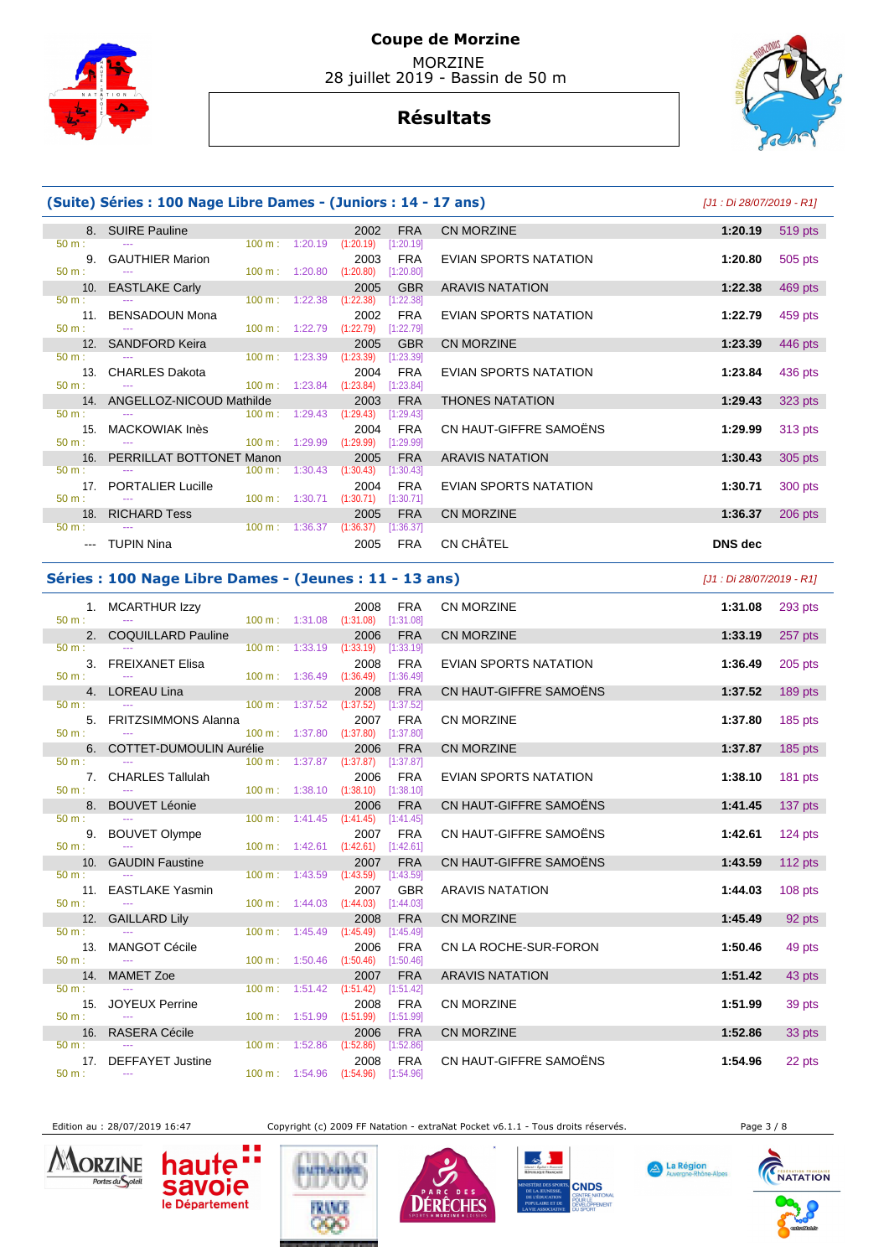

# **Résultats**



|              | (Suite) Séries : 100 Nage Libre Dames - (Juniors : 14 - 17 ans) |                   |                   |                                    |                         |                              | [J1 : Di 28/07/2019 - R1] |                |
|--------------|-----------------------------------------------------------------|-------------------|-------------------|------------------------------------|-------------------------|------------------------------|---------------------------|----------------|
| $50 m$ :     | 8. SUIRE Pauline                                                | $100 \text{ m}$ : |                   | 2002                               | <b>FRA</b>              | CN MORZINE                   | 1:20.19                   | <b>519 pts</b> |
|              | 9. GAUTHIER Marion                                              |                   | 1:20.19           | (1:20.19)<br>2003                  | [1:20.19]<br><b>FRA</b> | <b>EVIAN SPORTS NATATION</b> | 1:20.80                   | 505 pts        |
| 50 m:        | 10. EASTLAKE Carly                                              |                   | 100 m: 1:20.80    | (1:20.80)<br>2005                  | [1:20.80]<br><b>GBR</b> | <b>ARAVIS NATATION</b>       | 1:22.38                   | 469 pts        |
| 50 m:        |                                                                 | 100 m:            | 1:22.38           | (1:22.38)                          | [1:22.38]               | <b>EVIAN SPORTS NATATION</b> | 1:22.79                   |                |
| $50 m$ :     | 11. BENSADOUN Mona                                              | 100 m:            | 1:22.79           | 2002<br>(1:22.79)                  | <b>FRA</b><br>[1:22.79] |                              |                           | 459 pts        |
| 50 m:        | 12. SANDFORD Keira<br>$\frac{1}{2}$                             | 100 m:            | 1:23.39           | 2005<br>(1:23.39)                  | <b>GBR</b><br>[1:23.39] | <b>CN MORZINE</b>            | 1:23.39                   | 446 pts        |
|              | 13. CHARLES Dakota                                              |                   |                   | 2004                               | <b>FRA</b>              | <b>EVIAN SPORTS NATATION</b> | 1:23.84                   | 436 pts        |
| 50 m:        | 14. ANGELLOZ-NICOUD Mathilde                                    |                   | 100 m: 1:23.84    | (1:23.84)<br>2003                  | [1:23.84]<br><b>FRA</b> | <b>THONES NATATION</b>       | 1:29.43                   | 323 pts        |
| 50 m:        |                                                                 |                   | 100 m: 1:29.43    | (1:29.43)                          | [1:29.43]               |                              |                           |                |
| $50 m$ :     | 15. MACKOWIAK Inès                                              |                   | 100 m: 1:29.99    | 2004<br>(1:29.99)                  | <b>FRA</b><br>[1:29.99] | CN HAUT-GIFFRE SAMOËNS       | 1:29.99                   | 313 pts        |
| 16.<br>50 m: | PERRILLAT BOTTONET Manon                                        | 100 m:            | 1:30.43           | 2005<br>(1:30.43)                  | <b>FRA</b><br>[1:30.43] | <b>ARAVIS NATATION</b>       | 1:30.43                   | 305 pts        |
|              | 17. PORTALIER Lucille                                           |                   |                   | 2004                               | <b>FRA</b>              | EVIAN SPORTS NATATION        | 1:30.71                   | 300 pts        |
| $50 m$ :     | 18. RICHARD Tess                                                | 100 m:            | 1:30.71           | (1:30.71)<br>2005                  | [1:30.71]<br><b>FRA</b> | <b>CN MORZINE</b>            | 1:36.37                   | 206 pts        |
| 50 m:        |                                                                 |                   | 100 m: 1:36.37    | (1:36.37)                          | [1:36.37]               |                              |                           |                |
|              | --- TUPIN Nina                                                  |                   |                   | 2005                               | <b>FRA</b>              | CN CHÂTEL                    | <b>DNS</b> dec            |                |
|              | Séries : 100 Nage Libre Dames - (Jeunes : 11 - 13 ans)          |                   |                   |                                    |                         |                              | [J1 : Di 28/07/2019 - R1] |                |
| 50 m:        | 1. MCARTHUR Izzy                                                |                   |                   | 2008                               | <b>FRA</b><br>[1:31.08] | CN MORZINE                   | 1:31.08                   | 293 pts        |
|              | 2. COQUILLARD Pauline                                           |                   | 100 m: 1:31.08    | (1:31.08)<br>2006                  | <b>FRA</b>              | <b>CN MORZINE</b>            | 1:33.19                   | 257 pts        |
| 50 m:        | 3. FREIXANET Elisa                                              | 100 m:            | 1:33.19           | (1:33.19)<br>2008                  | [1:33.19]<br><b>FRA</b> | EVIAN SPORTS NATATION        | 1:36.49                   | 205 pts        |
| $50 m$ :     |                                                                 |                   | 100 m: 1:36.49    | (1:36.49)                          | [1:36.49]               |                              |                           |                |
| 50 m:        | 4. LOREAU Lina                                                  | 100 m:            | 1:37.52           | 2008<br>(1:37.52)                  | <b>FRA</b><br>[1:37.52] | CN HAUT-GIFFRE SAMOENS       | 1:37.52                   | 189 pts        |
|              | 5. FRITZSIMMONS Alanna                                          |                   |                   | 2007                               | <b>FRA</b>              | CN MORZINE                   | 1:37.80                   | 185 pts        |
| 50 m:<br>6.  | <b>COTTET-DUMOULIN Aurélie</b>                                  |                   | 100 m: 1:37.80    | (1:37.80)<br>2006                  | [1:37.80]<br><b>FRA</b> | <b>CN MORZINE</b>            | 1:37.87                   | 185 pts        |
| $50 m$ :     | 7. CHARLES Tallulah                                             |                   | 100 m: 1:37.87    | (1:37.87)<br>2006                  | [1:37.87]<br><b>FRA</b> | EVIAN SPORTS NATATION        | 1:38.10                   | 181 pts        |
| $50 m$ :     |                                                                 | 100 m:            | 1:38.10           | (1:38.10)                          | [1:38.10]               |                              |                           |                |
| 50 m:        | 8. BOUVET Léonie                                                | $100 \text{ m}$ : | 1:41.45           | 2006<br>(1:41.45)                  | <b>FRA</b><br>[1:41.45] | CN HAUT-GIFFRE SAMOËNS       | 1:41.45                   | 137 pts        |
|              | 9. BOUVET Olympe                                                |                   |                   | 2007                               | <b>FRA</b>              | CN HAUT-GIFFRE SAMOËNS       | 1:42.61                   | 124 pts        |
| 50 m:        | 10. GAUDIN Faustine                                             |                   | 100 m: 1:42.61    | (1:42.61)<br>2007                  | [1:42.61]<br><b>FRA</b> | CN HAUT-GIFFRE SAMOËNS       | 1:43.59                   | 112 pts        |
| 50 m:        |                                                                 | 100 m:            | 1:43.59           | (1:43.59)                          | [1:43.59]               |                              |                           |                |
| 50 m:        | 11. EASTLAKE Yasmin                                             |                   | $100 m$ : 1:44.03 | 2007<br>(1:44.03)                  | <b>GBR</b><br>[1:44.03] | <b>ARAVIS NATATION</b>       | 1:44.03                   | 108 pts        |
| 50 m:        | 12. GAILLARD Lily                                               | 100 m:            | 1:45.49           | 2008<br>(1:45.49)                  | <b>FRA</b><br>[1:45.49] | <b>CN MORZINE</b>            | 1:45.49                   | 92 pts         |
|              | 13. MANGOT Cécile                                               |                   |                   | 2006                               | <b>FRA</b>              | CN LA ROCHE-SUR-FORON        | 1:50.46                   | 49 pts         |
| $50 m$ :     |                                                                 |                   |                   | 100 m: 1:50.46 (1:50.46) [1:50.46] |                         |                              |                           |                |

50 m : --- 100 m : 1:51.99 (1:51.99) [1:51.99]

1: --- 100 m : 1:52.86 (1:52.86) [1:52.86]<br>17. DEFFAYET Justine 100 m : 1:52.86 (1:52.86) [1:52.86]



Edition au : 28/07/2019 16:47 Copyright (c) 2009 FF Natation - extraNat Pocket v6.1.1 - Tous droits réservés. Page 3 / 8

**DÉRÊCHES** 

14. MAMET Zoe 2007 FRA ARAVIS NATATION **1:51.42** 43 pts 2007 FRA ARAVIS NATATION

16. RASERA Cécile 2006 FRA CN MORZINE **1:52.86** 33 pts

17. DEFFAYET Justine 2008 FRA CN HAUT-GIFFRE SAMOËNS **1:54.96** 22 pts

15. JOYEUX Perrine 2008 FRA CN MORZINE **1:51.99** 39 pts

 $(1:51.42)$   $[1:51.42]$ 

100 m : 1:54.96 (1:54.96) [1:54.96]

**BUTEASIN** 

£Т

A La Région

**CNDS** 

UR LE<br>VELOPPEMENT



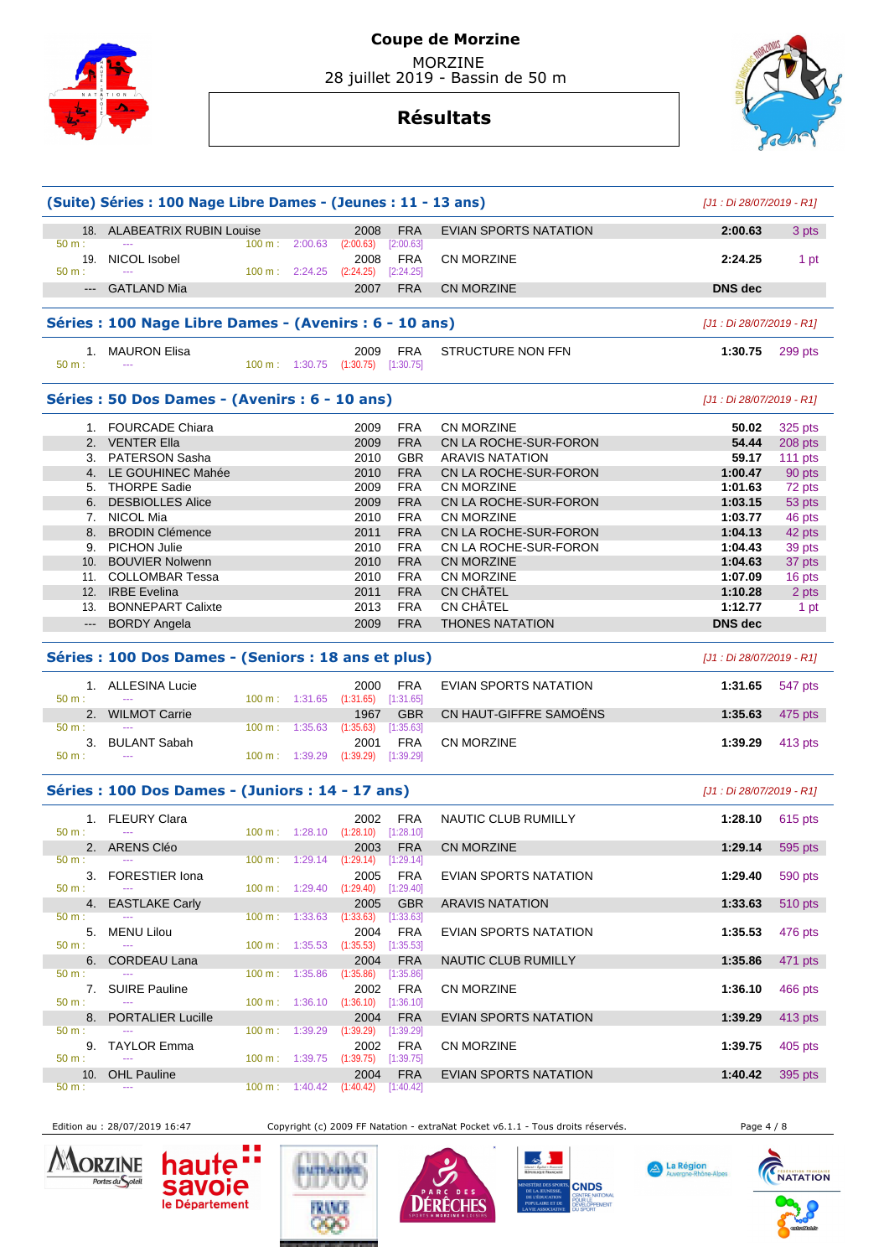

# **Résultats**



| 18. ALABEATRIX RUBIN Louise<br>2008<br><b>EVIAN SPORTS NATATION</b><br>2:00.63<br><b>FRA</b><br>100 m: 2:00.63<br>50 m:<br>(2:00.63)<br>[2:00.63]<br>NICOL Isobel<br><b>FRA</b><br>19.<br>2008<br><b>CN MORZINE</b><br>2:24.25<br>100 m: 2:24.25<br>(2:24.25)<br>$[2:24.25]$<br>--- GATLAND Mia<br>2007<br><b>FRA</b><br><b>CN MORZINE</b><br><b>DNS</b> dec<br>Séries : 100 Nage Libre Dames - (Avenirs : 6 - 10 ans)<br>[J1 : Di 28/07/2019 - R1]<br><b>FRA</b><br>1. MAURON Elisa<br>2009<br>STRUCTURE NON FFN<br>1:30.75<br>$(1:30.75)$ $[1:30.75]$<br>100 m: 1:30.75<br>$\sim$ $\sim$<br>Séries : 50 Dos Dames - (Avenirs : 6 - 10 ans)<br>[J1 : Di 28/07/2019 - R1]<br>1. FOURCADE Chiara<br><b>FRA</b><br>2009<br><b>CN MORZINE</b><br>50.02<br>2. VENTER Ella<br>2009<br><b>FRA</b><br>CN LA ROCHE-SUR-FORON<br>54.44<br>3. PATERSON Sasha<br><b>GBR</b><br><b>ARAVIS NATATION</b><br>2010<br>59.17<br>4. LE GOUHINEC Mahée<br>2010<br><b>FRA</b><br>CN LA ROCHE-SUR-FORON<br>1:00.47<br>5. THORPE Sadie<br>2009<br><b>FRA</b><br>CN MORZINE<br>1:01.63<br>6. DESBIOLLES Alice<br>2009<br><b>FRA</b><br>CN LA ROCHE-SUR-FORON<br>1:03.15<br>7. NICOL Mia<br>2010<br><b>FRA</b><br>CN MORZINE<br>1:03.77<br>8. BRODIN Clémence<br>2011<br><b>FRA</b><br>CN LA ROCHE-SUR-FORON<br>1:04.13<br>9. PICHON Julie<br><b>FRA</b><br>2010<br>CN LA ROCHE-SUR-FORON<br>1:04.43<br>10. BOUVIER Nolwenn<br>2010<br><b>FRA</b><br><b>CN MORZINE</b><br>1:04.63<br>11. COLLOMBAR Tessa<br><b>FRA</b><br>CN MORZINE<br>2010<br>1:07.09<br>CN CHÂTEL<br>12. IRBE Evelina<br>2011<br><b>FRA</b><br>1:10.28<br>CN CHÂTEL<br>13. BONNEPART Calixte<br>2013<br><b>FRA</b><br>1:12.77<br><b>THONES NATATION</b><br>--- BORDY Angela<br><b>FRA</b><br><b>DNS</b> dec<br>2009<br>Séries : 100 Dos Dames - (Seniors : 18 ans et plus)<br>[J1 : Di 28/07/2019 - R1]<br>1. ALLESINA Lucie<br>2000<br>FRA<br>EVIAN SPORTS NATATION<br>1:31.65<br>100 m: 1:31.65 (1:31.65) [1:31.65]<br>$\sim$ $\sim$<br>2. WILMOT Carrie<br><b>GBR</b><br>CN HAUT-GIFFRE SAMOENS<br>1:35.63<br>1967<br>50 m:<br>100 m: 1:35.63<br>(1:35.63)<br>[1:35.63]<br><b>FRA</b><br><b>CN MORZINE</b><br>3. BULANT Sabah<br>2001<br>1:39.29<br>50 m:<br>100 m : 1:39.29 (1:39.29) [1:39.29]<br>Séries : 100 Dos Dames - (Juniors : 14 - 17 ans)<br>[J1 : Di 28/07/2019 - R1]<br>1. FLEURY Clara<br><b>FRA</b><br>NAUTIC CLUB RUMILLY<br>2002<br>1:28.10<br>100 m: 1:28.10 (1:28.10) [1:28.10]<br>50 m:<br>$\sim$<br>2003 FRA CN MORZINE<br>2. ARENS Cléo<br>1:29.14 595 pts<br>$100 \text{ m}: 1:29.14$<br>(1:29.14)<br>50 m:<br>$[1:29.14]$<br><b>FRA</b><br>3. FORESTIER Iona<br>2005<br>EVIAN SPORTS NATATION<br>1:29.40<br>(1:29.40)<br>50 m:<br>$100 \text{ m}: 1:29.40$<br>[1:29.40]<br><b>EASTLAKE Carly</b><br>2005<br><b>GBR</b><br><b>ARAVIS NATATION</b><br>1:33.63<br>4.<br>$100 \text{ m}: 1:33.63$<br>(1:33.63)<br>[1:33.63]<br>5. MENU Lilou<br>2004<br>FRA<br>EVIAN SPORTS NATATION<br>1:35.53<br>50 m:<br>$100 \text{ m}: 1:35.53 (1:35.53)$<br>[1:35.53]<br>$\frac{1}{2}$<br><b>CORDEAU Lana</b><br><b>FRA</b><br>NAUTIC CLUB RUMILLY<br>1:35.86<br>2004<br>471 pts<br>6.<br>1:35.86<br>(1:35.86)<br>$100 \text{ m}$ :<br>[1:35.86]<br>7. SUIRE Pauline<br>2002<br>FRA<br>CN MORZINE<br>1:36.10<br>$100 \text{ m}: 1:36.10 (1:36.10)$<br>[1:36.10]<br>8.<br><b>PORTALIER Lucille</b><br>2004<br><b>FRA</b><br>EVIAN SPORTS NATATION<br>1:39.29<br>50 m:<br>$100 \text{ m}: 1:39.29$<br>(1:39.29)<br>[1:39.29]<br><b>FRA</b><br>9. TAYLOR Emma<br>2002<br>CN MORZINE<br>1:39.75<br>50 m:<br>100 m: 1:39.75<br>(1:39.75)<br>[1:39.75]<br><b>EVIAN SPORTS NATATION</b><br>10.<br><b>OHL Pauline</b><br>2004<br><b>FRA</b><br>1:40.42<br>395 pts<br>50 m:<br>$100 \text{ m}: 1:40.42$<br>(1:40.42)<br>[1:40.42] |          | (Suite) Séries : 100 Nage Libre Dames - (Jeunes : 11 - 13 ans) |  |  | [J1 : Di 28/07/2019 - R1] |           |
|----------------------------------------------------------------------------------------------------------------------------------------------------------------------------------------------------------------------------------------------------------------------------------------------------------------------------------------------------------------------------------------------------------------------------------------------------------------------------------------------------------------------------------------------------------------------------------------------------------------------------------------------------------------------------------------------------------------------------------------------------------------------------------------------------------------------------------------------------------------------------------------------------------------------------------------------------------------------------------------------------------------------------------------------------------------------------------------------------------------------------------------------------------------------------------------------------------------------------------------------------------------------------------------------------------------------------------------------------------------------------------------------------------------------------------------------------------------------------------------------------------------------------------------------------------------------------------------------------------------------------------------------------------------------------------------------------------------------------------------------------------------------------------------------------------------------------------------------------------------------------------------------------------------------------------------------------------------------------------------------------------------------------------------------------------------------------------------------------------------------------------------------------------------------------------------------------------------------------------------------------------------------------------------------------------------------------------------------------------------------------------------------------------------------------------------------------------------------------------------------------------------------------------------------------------------------------------------------------------------------------------------------------------------------------------------------------------------------------------------------------------------------------------------------------------------------------------------------------------------------------------------------------------------------------------------------------------------------------------------------------------------------------------------------------------------------------------------------------------------------------------------------------------------------------------------------------------------------------------------------------------------------------------------------------------------------------------------------------------------------------------------------------------------------------------------------------------------------------------------------------------------------------------------------------------------------------------------------------------------------------------------------------------------------------------------------------------------------------------------------------------------------------------|----------|----------------------------------------------------------------|--|--|---------------------------|-----------|
|                                                                                                                                                                                                                                                                                                                                                                                                                                                                                                                                                                                                                                                                                                                                                                                                                                                                                                                                                                                                                                                                                                                                                                                                                                                                                                                                                                                                                                                                                                                                                                                                                                                                                                                                                                                                                                                                                                                                                                                                                                                                                                                                                                                                                                                                                                                                                                                                                                                                                                                                                                                                                                                                                                                                                                                                                                                                                                                                                                                                                                                                                                                                                                                                                                                                                                                                                                                                                                                                                                                                                                                                                                                                                                                                                                                  |          |                                                                |  |  |                           | 3 pts     |
|                                                                                                                                                                                                                                                                                                                                                                                                                                                                                                                                                                                                                                                                                                                                                                                                                                                                                                                                                                                                                                                                                                                                                                                                                                                                                                                                                                                                                                                                                                                                                                                                                                                                                                                                                                                                                                                                                                                                                                                                                                                                                                                                                                                                                                                                                                                                                                                                                                                                                                                                                                                                                                                                                                                                                                                                                                                                                                                                                                                                                                                                                                                                                                                                                                                                                                                                                                                                                                                                                                                                                                                                                                                                                                                                                                                  |          |                                                                |  |  |                           | 1 pt      |
|                                                                                                                                                                                                                                                                                                                                                                                                                                                                                                                                                                                                                                                                                                                                                                                                                                                                                                                                                                                                                                                                                                                                                                                                                                                                                                                                                                                                                                                                                                                                                                                                                                                                                                                                                                                                                                                                                                                                                                                                                                                                                                                                                                                                                                                                                                                                                                                                                                                                                                                                                                                                                                                                                                                                                                                                                                                                                                                                                                                                                                                                                                                                                                                                                                                                                                                                                                                                                                                                                                                                                                                                                                                                                                                                                                                  | 50 m:    |                                                                |  |  |                           |           |
|                                                                                                                                                                                                                                                                                                                                                                                                                                                                                                                                                                                                                                                                                                                                                                                                                                                                                                                                                                                                                                                                                                                                                                                                                                                                                                                                                                                                                                                                                                                                                                                                                                                                                                                                                                                                                                                                                                                                                                                                                                                                                                                                                                                                                                                                                                                                                                                                                                                                                                                                                                                                                                                                                                                                                                                                                                                                                                                                                                                                                                                                                                                                                                                                                                                                                                                                                                                                                                                                                                                                                                                                                                                                                                                                                                                  |          |                                                                |  |  |                           |           |
|                                                                                                                                                                                                                                                                                                                                                                                                                                                                                                                                                                                                                                                                                                                                                                                                                                                                                                                                                                                                                                                                                                                                                                                                                                                                                                                                                                                                                                                                                                                                                                                                                                                                                                                                                                                                                                                                                                                                                                                                                                                                                                                                                                                                                                                                                                                                                                                                                                                                                                                                                                                                                                                                                                                                                                                                                                                                                                                                                                                                                                                                                                                                                                                                                                                                                                                                                                                                                                                                                                                                                                                                                                                                                                                                                                                  |          |                                                                |  |  |                           |           |
|                                                                                                                                                                                                                                                                                                                                                                                                                                                                                                                                                                                                                                                                                                                                                                                                                                                                                                                                                                                                                                                                                                                                                                                                                                                                                                                                                                                                                                                                                                                                                                                                                                                                                                                                                                                                                                                                                                                                                                                                                                                                                                                                                                                                                                                                                                                                                                                                                                                                                                                                                                                                                                                                                                                                                                                                                                                                                                                                                                                                                                                                                                                                                                                                                                                                                                                                                                                                                                                                                                                                                                                                                                                                                                                                                                                  | 50 m:    |                                                                |  |  |                           | 299 pts   |
|                                                                                                                                                                                                                                                                                                                                                                                                                                                                                                                                                                                                                                                                                                                                                                                                                                                                                                                                                                                                                                                                                                                                                                                                                                                                                                                                                                                                                                                                                                                                                                                                                                                                                                                                                                                                                                                                                                                                                                                                                                                                                                                                                                                                                                                                                                                                                                                                                                                                                                                                                                                                                                                                                                                                                                                                                                                                                                                                                                                                                                                                                                                                                                                                                                                                                                                                                                                                                                                                                                                                                                                                                                                                                                                                                                                  |          |                                                                |  |  |                           |           |
|                                                                                                                                                                                                                                                                                                                                                                                                                                                                                                                                                                                                                                                                                                                                                                                                                                                                                                                                                                                                                                                                                                                                                                                                                                                                                                                                                                                                                                                                                                                                                                                                                                                                                                                                                                                                                                                                                                                                                                                                                                                                                                                                                                                                                                                                                                                                                                                                                                                                                                                                                                                                                                                                                                                                                                                                                                                                                                                                                                                                                                                                                                                                                                                                                                                                                                                                                                                                                                                                                                                                                                                                                                                                                                                                                                                  |          |                                                                |  |  |                           | 325 pts   |
|                                                                                                                                                                                                                                                                                                                                                                                                                                                                                                                                                                                                                                                                                                                                                                                                                                                                                                                                                                                                                                                                                                                                                                                                                                                                                                                                                                                                                                                                                                                                                                                                                                                                                                                                                                                                                                                                                                                                                                                                                                                                                                                                                                                                                                                                                                                                                                                                                                                                                                                                                                                                                                                                                                                                                                                                                                                                                                                                                                                                                                                                                                                                                                                                                                                                                                                                                                                                                                                                                                                                                                                                                                                                                                                                                                                  |          |                                                                |  |  |                           | 208 pts   |
|                                                                                                                                                                                                                                                                                                                                                                                                                                                                                                                                                                                                                                                                                                                                                                                                                                                                                                                                                                                                                                                                                                                                                                                                                                                                                                                                                                                                                                                                                                                                                                                                                                                                                                                                                                                                                                                                                                                                                                                                                                                                                                                                                                                                                                                                                                                                                                                                                                                                                                                                                                                                                                                                                                                                                                                                                                                                                                                                                                                                                                                                                                                                                                                                                                                                                                                                                                                                                                                                                                                                                                                                                                                                                                                                                                                  |          |                                                                |  |  |                           | 111 $pts$ |
|                                                                                                                                                                                                                                                                                                                                                                                                                                                                                                                                                                                                                                                                                                                                                                                                                                                                                                                                                                                                                                                                                                                                                                                                                                                                                                                                                                                                                                                                                                                                                                                                                                                                                                                                                                                                                                                                                                                                                                                                                                                                                                                                                                                                                                                                                                                                                                                                                                                                                                                                                                                                                                                                                                                                                                                                                                                                                                                                                                                                                                                                                                                                                                                                                                                                                                                                                                                                                                                                                                                                                                                                                                                                                                                                                                                  |          |                                                                |  |  |                           | 90 pts    |
|                                                                                                                                                                                                                                                                                                                                                                                                                                                                                                                                                                                                                                                                                                                                                                                                                                                                                                                                                                                                                                                                                                                                                                                                                                                                                                                                                                                                                                                                                                                                                                                                                                                                                                                                                                                                                                                                                                                                                                                                                                                                                                                                                                                                                                                                                                                                                                                                                                                                                                                                                                                                                                                                                                                                                                                                                                                                                                                                                                                                                                                                                                                                                                                                                                                                                                                                                                                                                                                                                                                                                                                                                                                                                                                                                                                  |          |                                                                |  |  |                           | 72 pts    |
|                                                                                                                                                                                                                                                                                                                                                                                                                                                                                                                                                                                                                                                                                                                                                                                                                                                                                                                                                                                                                                                                                                                                                                                                                                                                                                                                                                                                                                                                                                                                                                                                                                                                                                                                                                                                                                                                                                                                                                                                                                                                                                                                                                                                                                                                                                                                                                                                                                                                                                                                                                                                                                                                                                                                                                                                                                                                                                                                                                                                                                                                                                                                                                                                                                                                                                                                                                                                                                                                                                                                                                                                                                                                                                                                                                                  |          |                                                                |  |  |                           | 53 pts    |
|                                                                                                                                                                                                                                                                                                                                                                                                                                                                                                                                                                                                                                                                                                                                                                                                                                                                                                                                                                                                                                                                                                                                                                                                                                                                                                                                                                                                                                                                                                                                                                                                                                                                                                                                                                                                                                                                                                                                                                                                                                                                                                                                                                                                                                                                                                                                                                                                                                                                                                                                                                                                                                                                                                                                                                                                                                                                                                                                                                                                                                                                                                                                                                                                                                                                                                                                                                                                                                                                                                                                                                                                                                                                                                                                                                                  |          |                                                                |  |  |                           | 46 pts    |
|                                                                                                                                                                                                                                                                                                                                                                                                                                                                                                                                                                                                                                                                                                                                                                                                                                                                                                                                                                                                                                                                                                                                                                                                                                                                                                                                                                                                                                                                                                                                                                                                                                                                                                                                                                                                                                                                                                                                                                                                                                                                                                                                                                                                                                                                                                                                                                                                                                                                                                                                                                                                                                                                                                                                                                                                                                                                                                                                                                                                                                                                                                                                                                                                                                                                                                                                                                                                                                                                                                                                                                                                                                                                                                                                                                                  |          |                                                                |  |  |                           | 42 pts    |
|                                                                                                                                                                                                                                                                                                                                                                                                                                                                                                                                                                                                                                                                                                                                                                                                                                                                                                                                                                                                                                                                                                                                                                                                                                                                                                                                                                                                                                                                                                                                                                                                                                                                                                                                                                                                                                                                                                                                                                                                                                                                                                                                                                                                                                                                                                                                                                                                                                                                                                                                                                                                                                                                                                                                                                                                                                                                                                                                                                                                                                                                                                                                                                                                                                                                                                                                                                                                                                                                                                                                                                                                                                                                                                                                                                                  |          |                                                                |  |  |                           | 39 pts    |
|                                                                                                                                                                                                                                                                                                                                                                                                                                                                                                                                                                                                                                                                                                                                                                                                                                                                                                                                                                                                                                                                                                                                                                                                                                                                                                                                                                                                                                                                                                                                                                                                                                                                                                                                                                                                                                                                                                                                                                                                                                                                                                                                                                                                                                                                                                                                                                                                                                                                                                                                                                                                                                                                                                                                                                                                                                                                                                                                                                                                                                                                                                                                                                                                                                                                                                                                                                                                                                                                                                                                                                                                                                                                                                                                                                                  |          |                                                                |  |  |                           | 37 pts    |
|                                                                                                                                                                                                                                                                                                                                                                                                                                                                                                                                                                                                                                                                                                                                                                                                                                                                                                                                                                                                                                                                                                                                                                                                                                                                                                                                                                                                                                                                                                                                                                                                                                                                                                                                                                                                                                                                                                                                                                                                                                                                                                                                                                                                                                                                                                                                                                                                                                                                                                                                                                                                                                                                                                                                                                                                                                                                                                                                                                                                                                                                                                                                                                                                                                                                                                                                                                                                                                                                                                                                                                                                                                                                                                                                                                                  |          |                                                                |  |  |                           | 16 pts    |
|                                                                                                                                                                                                                                                                                                                                                                                                                                                                                                                                                                                                                                                                                                                                                                                                                                                                                                                                                                                                                                                                                                                                                                                                                                                                                                                                                                                                                                                                                                                                                                                                                                                                                                                                                                                                                                                                                                                                                                                                                                                                                                                                                                                                                                                                                                                                                                                                                                                                                                                                                                                                                                                                                                                                                                                                                                                                                                                                                                                                                                                                                                                                                                                                                                                                                                                                                                                                                                                                                                                                                                                                                                                                                                                                                                                  |          |                                                                |  |  |                           | 2 pts     |
|                                                                                                                                                                                                                                                                                                                                                                                                                                                                                                                                                                                                                                                                                                                                                                                                                                                                                                                                                                                                                                                                                                                                                                                                                                                                                                                                                                                                                                                                                                                                                                                                                                                                                                                                                                                                                                                                                                                                                                                                                                                                                                                                                                                                                                                                                                                                                                                                                                                                                                                                                                                                                                                                                                                                                                                                                                                                                                                                                                                                                                                                                                                                                                                                                                                                                                                                                                                                                                                                                                                                                                                                                                                                                                                                                                                  |          |                                                                |  |  |                           | 1 pt      |
|                                                                                                                                                                                                                                                                                                                                                                                                                                                                                                                                                                                                                                                                                                                                                                                                                                                                                                                                                                                                                                                                                                                                                                                                                                                                                                                                                                                                                                                                                                                                                                                                                                                                                                                                                                                                                                                                                                                                                                                                                                                                                                                                                                                                                                                                                                                                                                                                                                                                                                                                                                                                                                                                                                                                                                                                                                                                                                                                                                                                                                                                                                                                                                                                                                                                                                                                                                                                                                                                                                                                                                                                                                                                                                                                                                                  |          |                                                                |  |  |                           |           |
|                                                                                                                                                                                                                                                                                                                                                                                                                                                                                                                                                                                                                                                                                                                                                                                                                                                                                                                                                                                                                                                                                                                                                                                                                                                                                                                                                                                                                                                                                                                                                                                                                                                                                                                                                                                                                                                                                                                                                                                                                                                                                                                                                                                                                                                                                                                                                                                                                                                                                                                                                                                                                                                                                                                                                                                                                                                                                                                                                                                                                                                                                                                                                                                                                                                                                                                                                                                                                                                                                                                                                                                                                                                                                                                                                                                  |          |                                                                |  |  |                           |           |
|                                                                                                                                                                                                                                                                                                                                                                                                                                                                                                                                                                                                                                                                                                                                                                                                                                                                                                                                                                                                                                                                                                                                                                                                                                                                                                                                                                                                                                                                                                                                                                                                                                                                                                                                                                                                                                                                                                                                                                                                                                                                                                                                                                                                                                                                                                                                                                                                                                                                                                                                                                                                                                                                                                                                                                                                                                                                                                                                                                                                                                                                                                                                                                                                                                                                                                                                                                                                                                                                                                                                                                                                                                                                                                                                                                                  | 50 m:    |                                                                |  |  |                           | 547 pts   |
|                                                                                                                                                                                                                                                                                                                                                                                                                                                                                                                                                                                                                                                                                                                                                                                                                                                                                                                                                                                                                                                                                                                                                                                                                                                                                                                                                                                                                                                                                                                                                                                                                                                                                                                                                                                                                                                                                                                                                                                                                                                                                                                                                                                                                                                                                                                                                                                                                                                                                                                                                                                                                                                                                                                                                                                                                                                                                                                                                                                                                                                                                                                                                                                                                                                                                                                                                                                                                                                                                                                                                                                                                                                                                                                                                                                  |          |                                                                |  |  |                           | 475 pts   |
|                                                                                                                                                                                                                                                                                                                                                                                                                                                                                                                                                                                                                                                                                                                                                                                                                                                                                                                                                                                                                                                                                                                                                                                                                                                                                                                                                                                                                                                                                                                                                                                                                                                                                                                                                                                                                                                                                                                                                                                                                                                                                                                                                                                                                                                                                                                                                                                                                                                                                                                                                                                                                                                                                                                                                                                                                                                                                                                                                                                                                                                                                                                                                                                                                                                                                                                                                                                                                                                                                                                                                                                                                                                                                                                                                                                  |          |                                                                |  |  |                           | 413 pts   |
|                                                                                                                                                                                                                                                                                                                                                                                                                                                                                                                                                                                                                                                                                                                                                                                                                                                                                                                                                                                                                                                                                                                                                                                                                                                                                                                                                                                                                                                                                                                                                                                                                                                                                                                                                                                                                                                                                                                                                                                                                                                                                                                                                                                                                                                                                                                                                                                                                                                                                                                                                                                                                                                                                                                                                                                                                                                                                                                                                                                                                                                                                                                                                                                                                                                                                                                                                                                                                                                                                                                                                                                                                                                                                                                                                                                  |          |                                                                |  |  |                           |           |
|                                                                                                                                                                                                                                                                                                                                                                                                                                                                                                                                                                                                                                                                                                                                                                                                                                                                                                                                                                                                                                                                                                                                                                                                                                                                                                                                                                                                                                                                                                                                                                                                                                                                                                                                                                                                                                                                                                                                                                                                                                                                                                                                                                                                                                                                                                                                                                                                                                                                                                                                                                                                                                                                                                                                                                                                                                                                                                                                                                                                                                                                                                                                                                                                                                                                                                                                                                                                                                                                                                                                                                                                                                                                                                                                                                                  |          |                                                                |  |  |                           |           |
|                                                                                                                                                                                                                                                                                                                                                                                                                                                                                                                                                                                                                                                                                                                                                                                                                                                                                                                                                                                                                                                                                                                                                                                                                                                                                                                                                                                                                                                                                                                                                                                                                                                                                                                                                                                                                                                                                                                                                                                                                                                                                                                                                                                                                                                                                                                                                                                                                                                                                                                                                                                                                                                                                                                                                                                                                                                                                                                                                                                                                                                                                                                                                                                                                                                                                                                                                                                                                                                                                                                                                                                                                                                                                                                                                                                  |          |                                                                |  |  |                           | 615 pts   |
|                                                                                                                                                                                                                                                                                                                                                                                                                                                                                                                                                                                                                                                                                                                                                                                                                                                                                                                                                                                                                                                                                                                                                                                                                                                                                                                                                                                                                                                                                                                                                                                                                                                                                                                                                                                                                                                                                                                                                                                                                                                                                                                                                                                                                                                                                                                                                                                                                                                                                                                                                                                                                                                                                                                                                                                                                                                                                                                                                                                                                                                                                                                                                                                                                                                                                                                                                                                                                                                                                                                                                                                                                                                                                                                                                                                  |          |                                                                |  |  |                           |           |
|                                                                                                                                                                                                                                                                                                                                                                                                                                                                                                                                                                                                                                                                                                                                                                                                                                                                                                                                                                                                                                                                                                                                                                                                                                                                                                                                                                                                                                                                                                                                                                                                                                                                                                                                                                                                                                                                                                                                                                                                                                                                                                                                                                                                                                                                                                                                                                                                                                                                                                                                                                                                                                                                                                                                                                                                                                                                                                                                                                                                                                                                                                                                                                                                                                                                                                                                                                                                                                                                                                                                                                                                                                                                                                                                                                                  |          |                                                                |  |  |                           | 590 pts   |
|                                                                                                                                                                                                                                                                                                                                                                                                                                                                                                                                                                                                                                                                                                                                                                                                                                                                                                                                                                                                                                                                                                                                                                                                                                                                                                                                                                                                                                                                                                                                                                                                                                                                                                                                                                                                                                                                                                                                                                                                                                                                                                                                                                                                                                                                                                                                                                                                                                                                                                                                                                                                                                                                                                                                                                                                                                                                                                                                                                                                                                                                                                                                                                                                                                                                                                                                                                                                                                                                                                                                                                                                                                                                                                                                                                                  |          |                                                                |  |  |                           | $510$ pts |
|                                                                                                                                                                                                                                                                                                                                                                                                                                                                                                                                                                                                                                                                                                                                                                                                                                                                                                                                                                                                                                                                                                                                                                                                                                                                                                                                                                                                                                                                                                                                                                                                                                                                                                                                                                                                                                                                                                                                                                                                                                                                                                                                                                                                                                                                                                                                                                                                                                                                                                                                                                                                                                                                                                                                                                                                                                                                                                                                                                                                                                                                                                                                                                                                                                                                                                                                                                                                                                                                                                                                                                                                                                                                                                                                                                                  | 50 m:    |                                                                |  |  |                           |           |
|                                                                                                                                                                                                                                                                                                                                                                                                                                                                                                                                                                                                                                                                                                                                                                                                                                                                                                                                                                                                                                                                                                                                                                                                                                                                                                                                                                                                                                                                                                                                                                                                                                                                                                                                                                                                                                                                                                                                                                                                                                                                                                                                                                                                                                                                                                                                                                                                                                                                                                                                                                                                                                                                                                                                                                                                                                                                                                                                                                                                                                                                                                                                                                                                                                                                                                                                                                                                                                                                                                                                                                                                                                                                                                                                                                                  |          |                                                                |  |  |                           | 476 pts   |
|                                                                                                                                                                                                                                                                                                                                                                                                                                                                                                                                                                                                                                                                                                                                                                                                                                                                                                                                                                                                                                                                                                                                                                                                                                                                                                                                                                                                                                                                                                                                                                                                                                                                                                                                                                                                                                                                                                                                                                                                                                                                                                                                                                                                                                                                                                                                                                                                                                                                                                                                                                                                                                                                                                                                                                                                                                                                                                                                                                                                                                                                                                                                                                                                                                                                                                                                                                                                                                                                                                                                                                                                                                                                                                                                                                                  |          |                                                                |  |  |                           |           |
|                                                                                                                                                                                                                                                                                                                                                                                                                                                                                                                                                                                                                                                                                                                                                                                                                                                                                                                                                                                                                                                                                                                                                                                                                                                                                                                                                                                                                                                                                                                                                                                                                                                                                                                                                                                                                                                                                                                                                                                                                                                                                                                                                                                                                                                                                                                                                                                                                                                                                                                                                                                                                                                                                                                                                                                                                                                                                                                                                                                                                                                                                                                                                                                                                                                                                                                                                                                                                                                                                                                                                                                                                                                                                                                                                                                  | 50 m:    |                                                                |  |  |                           |           |
|                                                                                                                                                                                                                                                                                                                                                                                                                                                                                                                                                                                                                                                                                                                                                                                                                                                                                                                                                                                                                                                                                                                                                                                                                                                                                                                                                                                                                                                                                                                                                                                                                                                                                                                                                                                                                                                                                                                                                                                                                                                                                                                                                                                                                                                                                                                                                                                                                                                                                                                                                                                                                                                                                                                                                                                                                                                                                                                                                                                                                                                                                                                                                                                                                                                                                                                                                                                                                                                                                                                                                                                                                                                                                                                                                                                  |          |                                                                |  |  |                           | 466 pts   |
|                                                                                                                                                                                                                                                                                                                                                                                                                                                                                                                                                                                                                                                                                                                                                                                                                                                                                                                                                                                                                                                                                                                                                                                                                                                                                                                                                                                                                                                                                                                                                                                                                                                                                                                                                                                                                                                                                                                                                                                                                                                                                                                                                                                                                                                                                                                                                                                                                                                                                                                                                                                                                                                                                                                                                                                                                                                                                                                                                                                                                                                                                                                                                                                                                                                                                                                                                                                                                                                                                                                                                                                                                                                                                                                                                                                  | $50 m$ : |                                                                |  |  |                           |           |
|                                                                                                                                                                                                                                                                                                                                                                                                                                                                                                                                                                                                                                                                                                                                                                                                                                                                                                                                                                                                                                                                                                                                                                                                                                                                                                                                                                                                                                                                                                                                                                                                                                                                                                                                                                                                                                                                                                                                                                                                                                                                                                                                                                                                                                                                                                                                                                                                                                                                                                                                                                                                                                                                                                                                                                                                                                                                                                                                                                                                                                                                                                                                                                                                                                                                                                                                                                                                                                                                                                                                                                                                                                                                                                                                                                                  |          |                                                                |  |  |                           | $413$ pts |
|                                                                                                                                                                                                                                                                                                                                                                                                                                                                                                                                                                                                                                                                                                                                                                                                                                                                                                                                                                                                                                                                                                                                                                                                                                                                                                                                                                                                                                                                                                                                                                                                                                                                                                                                                                                                                                                                                                                                                                                                                                                                                                                                                                                                                                                                                                                                                                                                                                                                                                                                                                                                                                                                                                                                                                                                                                                                                                                                                                                                                                                                                                                                                                                                                                                                                                                                                                                                                                                                                                                                                                                                                                                                                                                                                                                  |          |                                                                |  |  |                           |           |
|                                                                                                                                                                                                                                                                                                                                                                                                                                                                                                                                                                                                                                                                                                                                                                                                                                                                                                                                                                                                                                                                                                                                                                                                                                                                                                                                                                                                                                                                                                                                                                                                                                                                                                                                                                                                                                                                                                                                                                                                                                                                                                                                                                                                                                                                                                                                                                                                                                                                                                                                                                                                                                                                                                                                                                                                                                                                                                                                                                                                                                                                                                                                                                                                                                                                                                                                                                                                                                                                                                                                                                                                                                                                                                                                                                                  |          |                                                                |  |  |                           | 405 pts   |
|                                                                                                                                                                                                                                                                                                                                                                                                                                                                                                                                                                                                                                                                                                                                                                                                                                                                                                                                                                                                                                                                                                                                                                                                                                                                                                                                                                                                                                                                                                                                                                                                                                                                                                                                                                                                                                                                                                                                                                                                                                                                                                                                                                                                                                                                                                                                                                                                                                                                                                                                                                                                                                                                                                                                                                                                                                                                                                                                                                                                                                                                                                                                                                                                                                                                                                                                                                                                                                                                                                                                                                                                                                                                                                                                                                                  |          |                                                                |  |  |                           |           |
|                                                                                                                                                                                                                                                                                                                                                                                                                                                                                                                                                                                                                                                                                                                                                                                                                                                                                                                                                                                                                                                                                                                                                                                                                                                                                                                                                                                                                                                                                                                                                                                                                                                                                                                                                                                                                                                                                                                                                                                                                                                                                                                                                                                                                                                                                                                                                                                                                                                                                                                                                                                                                                                                                                                                                                                                                                                                                                                                                                                                                                                                                                                                                                                                                                                                                                                                                                                                                                                                                                                                                                                                                                                                                                                                                                                  |          |                                                                |  |  |                           |           |
|                                                                                                                                                                                                                                                                                                                                                                                                                                                                                                                                                                                                                                                                                                                                                                                                                                                                                                                                                                                                                                                                                                                                                                                                                                                                                                                                                                                                                                                                                                                                                                                                                                                                                                                                                                                                                                                                                                                                                                                                                                                                                                                                                                                                                                                                                                                                                                                                                                                                                                                                                                                                                                                                                                                                                                                                                                                                                                                                                                                                                                                                                                                                                                                                                                                                                                                                                                                                                                                                                                                                                                                                                                                                                                                                                                                  |          |                                                                |  |  |                           |           |









A La Région



**CNATATION**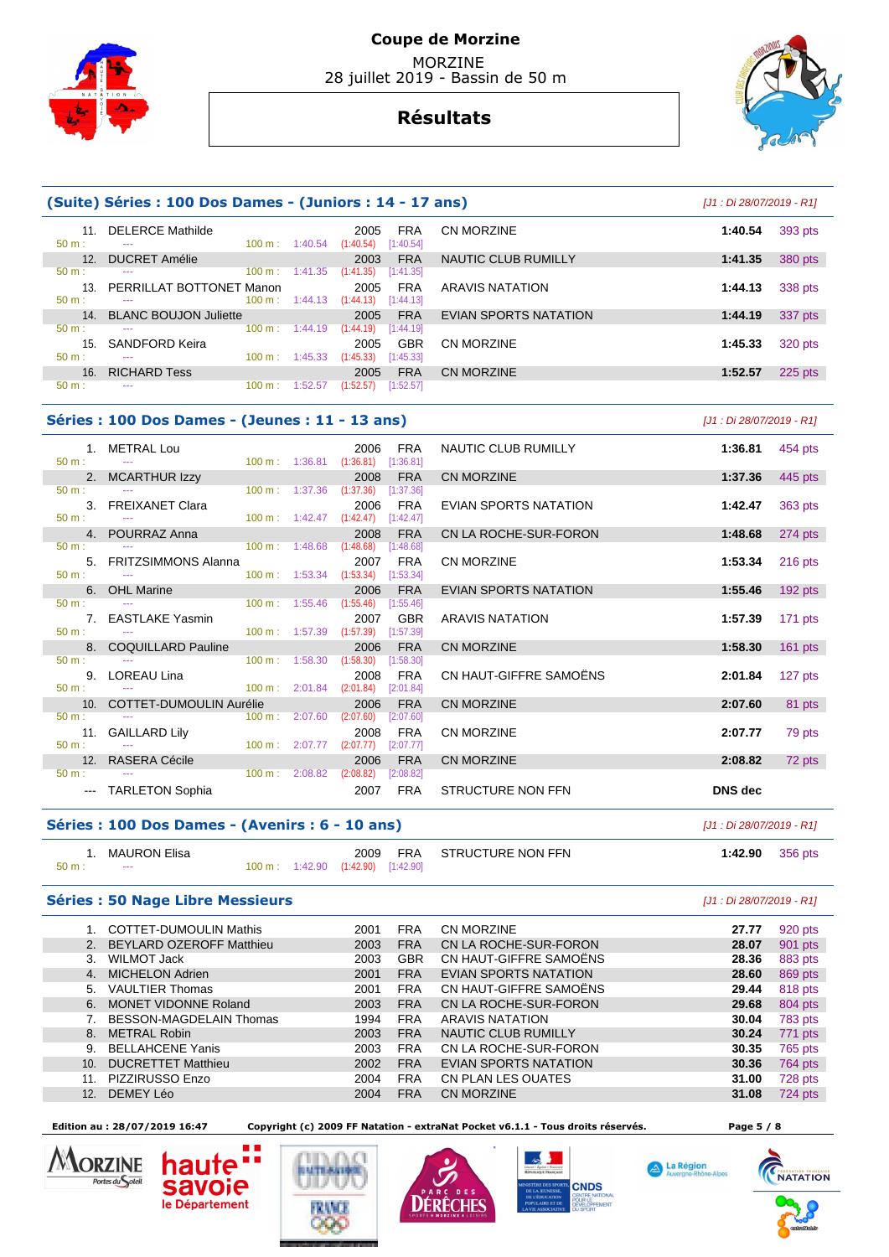

# **Résultats**



|                 | (Suite) Séries : 100 Dos Dames - (Juniors : 14 - 17 ans) |                          |                                              |                       |         |           |  |  |  |  |  |
|-----------------|----------------------------------------------------------|--------------------------|----------------------------------------------|-----------------------|---------|-----------|--|--|--|--|--|
| 11<br>$50 m$ :  | <b>DELERCE Mathilde</b><br>---                           | $100 \text{ m}: 1:40.54$ | <b>FRA</b><br>2005<br>[1:40.54]<br>(1:40.54) | CN MORZINE            | 1:40.54 | 393 pts   |  |  |  |  |  |
| 12 <sub>1</sub> | <b>DUCRET Amélie</b>                                     |                          | <b>FRA</b><br>2003                           | NAUTIC CLUB RUMILLY   | 1:41.35 | 380 pts   |  |  |  |  |  |
| $50 m$ :        | $100 \text{ m}$ :<br>---                                 | 1:41.35                  | (1:41.35)<br>[1:41.35]                       |                       |         |           |  |  |  |  |  |
| 13.             | PERRILLAT BOTTONET Manon                                 |                          | <b>FRA</b><br>2005                           | ARAVIS NATATION       | 1:44.13 | 338 pts   |  |  |  |  |  |
| $50 m$ :        | 100 m:<br>$\cdots$                                       | 1:44.13                  | (1:44.13)<br>[1:44.13]                       |                       |         |           |  |  |  |  |  |
| 14.             | <b>BLANC BOUJON Juliette</b>                             |                          | <b>FRA</b><br>2005                           | EVIAN SPORTS NATATION | 1:44.19 | 337 pts   |  |  |  |  |  |
| $50 m$ :        | 100 m:<br>---                                            | 1:44.19                  | (1:44.19)<br>[1:44.19]                       |                       |         |           |  |  |  |  |  |
| 15.             | SANDFORD Keira                                           |                          | <b>GBR</b><br>2005                           | CN MORZINE            | 1:45.33 | 320 pts   |  |  |  |  |  |
| $50 m$ :        | $100 \text{ m}$ :<br>---                                 | 1:45.33                  | (1:45.33)<br>[1:45.33]                       |                       |         |           |  |  |  |  |  |
| 16.             | <b>RICHARD Tess</b>                                      |                          | <b>FRA</b><br>2005                           | CN MORZINE            | 1:52.57 | $225$ pts |  |  |  |  |  |
| $50 m$ :        | 100 m:<br>---                                            | 1:52.57                  | (1:52.57)<br>[1:52.57]                       |                       |         |           |  |  |  |  |  |
|                 |                                                          |                          |                                              |                       |         |           |  |  |  |  |  |

## **Séries : 100 Dos Dames - (Jeunes : 11 - 13 ans)**

|                  | 1 <sup>1</sup>  | <b>METRAL Lou</b>              |                   |                          | 2006                    | <b>FRA</b> |
|------------------|-----------------|--------------------------------|-------------------|--------------------------|-------------------------|------------|
| $50 m$ :         |                 |                                |                   | $100 \text{ m}: 1:36.81$ | (1:36.81)               | [1:36.81]  |
|                  | 2.              | <b>MCARTHUR Izzy</b>           |                   |                          | 2008                    | <b>FRA</b> |
| $50 m$ :         |                 |                                | $100 \text{ m}$ : | 1:37.36                  | (1:37.36)               | [1:37.36]  |
|                  | 3.              | <b>FREIXANET Clara</b>         |                   |                          | 2006                    | <b>FRA</b> |
| $50 m$ :         |                 |                                | 100 m:            | 1:42.47                  | (1:42.47)               | [1:42.47]  |
|                  | 4.              | POURRAZ Anna                   |                   |                          | 2008                    | <b>FRA</b> |
| $50 \text{ m}$ : |                 |                                | $100 \text{ m}$ : | 1:48.68                  | (1:48.68)               | [1:48.68]  |
|                  | 5.              | <b>FRITZSIMMONS Alanna</b>     |                   |                          | 2007                    | <b>FRA</b> |
| $50 \text{ m}$ : |                 |                                | 100 m:            | 1:53.34                  | $(1:53.34)$ [1:53.34]   |            |
|                  | 6.              | <b>OHL Marine</b>              |                   |                          | 2006                    | <b>FRA</b> |
| $50 m$ :         |                 |                                | 100 m:            | 1:55.46                  | (1:55.46)               | [1:55.46]  |
|                  | 7 <sup>1</sup>  | <b>EASTLAKE Yasmin</b>         |                   |                          | 2007                    | <b>GBR</b> |
| 50 m:            |                 |                                | 100 m:            | 1:57.39                  | $(1:57.39)$ $[1:57.39]$ |            |
|                  | 8.              | <b>COQUILLARD Pauline</b>      |                   |                          | 2006                    | <b>FRA</b> |
| $50 \text{ m}$ : |                 |                                | 100 m:            | 1:58.30                  | (1:58.30)               | [1:58.30]  |
|                  | 9.              | <b>LOREAU Lina</b>             |                   |                          | 2008                    | <b>FRA</b> |
| $50 m$ :         |                 |                                | $100 \text{ m}$ : | 2:01.84                  | (2:01.84)               | [2:01.84]  |
|                  | 10 <sup>2</sup> | <b>COTTET-DUMOULIN Aurélie</b> |                   |                          | 2006                    | <b>FRA</b> |
| $50 m$ :         |                 |                                | $100 \text{ m}$ : | 2:07.60                  | (2:07.60)               | [2:07.60]  |
|                  | 11.             | <b>GAILLARD Lily</b>           |                   |                          | 2008                    | <b>FRA</b> |
| 50 m:            |                 |                                | 100 m:            | 2:07.77                  | (2:07.77)               | [2:07.77]  |
|                  | 12.             | <b>RASERA Cécile</b>           |                   |                          | 2006                    | <b>FRA</b> |
| $50 m$ :         |                 |                                | 100 m:            | 2:08.82                  | (2:08.82)               | [2:08.82]  |
|                  |                 | <b>TARLETON Sophia</b>         |                   |                          | 2007                    | <b>FRA</b> |

|     |                                             |                           | $100 \text{ m}$ . $1.32 \text{ m}$ $1.32 \text{ m}$ |                  |                              |                           |           |
|-----|---------------------------------------------|---------------------------|-----------------------------------------------------|------------------|------------------------------|---------------------------|-----------|
|     | es : 100 Dos Dames - (Jeunes : 11 - 13 ans) |                           |                                                     |                  |                              | [J1 : Di 28/07/2019 - R1] |           |
|     | 1. METRAL Lou                               |                           | 2006<br>100 m: 1:36.81 (1:36.81) [1:36.81]          | <b>FRA</b>       | NAUTIC CLUB RUMILLY          | 1:36.81                   | 454 pts   |
| 2.  | <b>MCARTHUR Izzy</b>                        |                           | 2008                                                | <b>FRA</b>       | <b>CN MORZINE</b>            | 1:37.36                   | 445 pts   |
|     |                                             | $100 \text{ m}$ : 1:37.36 | (1:37.36)                                           | [1:37.36]        |                              |                           |           |
|     | 3. FREIXANET Clara                          |                           | 2006<br>100 m: 1:42.47 (1:42.47) [1:42.47]          | <b>FRA</b>       | EVIAN SPORTS NATATION        | 1:42.47                   | 363 pts   |
|     | 4. POURRAZ Anna                             |                           | 2008                                                | <b>FRA</b>       | CN LA ROCHE-SUR-FORON        | 1:48.68                   | 274 pts   |
|     |                                             |                           | $100 \text{ m}: 1:48.68$ $(1:48.68)$                | [1:48.68]        |                              |                           |           |
|     | 5. FRITZSIMMONS Alanna                      |                           | 2007<br>100 m: 1:53.34 (1:53.34) [1:53.34]          | <b>FRA</b>       | <b>CN MORZINE</b>            | 1:53.34                   | $216$ pts |
|     | 6. OHL Marine                               |                           | 2006                                                | <b>FRA</b>       | <b>EVIAN SPORTS NATATION</b> | 1:55.46                   | $192$ pts |
|     |                                             | $100 \text{ m}: 1:55.46$  | (1:55.46)                                           | [1:55.46]        |                              |                           |           |
|     | 7. EASTLAKE Yasmin                          |                           | 100 m: 1:57.39 (1:57.39) [1:57.39]                  | 2007 GBR         | <b>ARAVIS NATATION</b>       | 1:57.39                   | $171$ pts |
|     | 8. COQUILLARD Pauline                       |                           | 2006                                                | <b>FRA</b>       | <b>CN MORZINE</b>            | 1:58.30                   | 161 pts   |
|     |                                             | $100 \text{ m}: 1:58.30$  | (1:58.30)                                           | [1:58.30]        |                              |                           |           |
|     | 9. LOREAU Lina                              |                           | 2008                                                | FRA              | CN HAUT-GIFFRE SAMOËNS       | 2:01.84                   | 127 pts   |
|     |                                             |                           | 100 m: 2:01.84 (2:01.84)                            | [2:01.84]        |                              |                           |           |
|     | 10. COTTET-DUMOULIN Aurélie                 |                           | 2006                                                | <b>FRA</b>       | <b>CN MORZINE</b>            | 2:07.60                   | 81 pts    |
|     |                                             |                           | $100 \text{ m}: 2:07.60$ $(2:07.60)$                | [2:07.60]        |                              |                           |           |
| 11. | <b>GAILLARD Lily</b>                        |                           | 2008<br>100 m : 2:07.77 (2:07.77)                   | FRA<br>[2:07.77] | <b>CN MORZINE</b>            | 2:07.77                   | 79 pts    |
|     | 12. RASERA Cécile                           |                           | 2006                                                | <b>FRA</b>       | <b>CN MORZINE</b>            | 2:08.82                   | 72 pts    |
|     |                                             |                           | $100 \text{ m}: 2:08.82$ (2:08.82)                  | [2:08.82]        |                              |                           |           |
|     | --- TARLETON Sophia                         |                           | 2007                                                | <b>FRA</b>       | STRUCTURE NON FFN            | <b>DNS</b> dec            |           |

## **Séries : 100 Dos Dames - (Avenirs : 6 - 10 ans)** [J1 : Di 28/07/2019 - R1]

|                  | <sup>1</sup> MAURON Elisa |  |                                    | 2009 FRA STRUCTURE NON FFN | 1:42.90 | 356 pts |
|------------------|---------------------------|--|------------------------------------|----------------------------|---------|---------|
| $50 \text{ m}$ : | $\sim$ $\sim$ $\sim$      |  | 100 m: 1:42.90 (1:42.90) [1:42.90] |                            |         |         |

#### **Séries : 50 Nage Libre Messieurs** [J1 : Di 28/07/2019 - R1]

| 920 pts |
|---------|
| 901 pts |
| 883 pts |
| 869 pts |
| 818 pts |
| 804 pts |
| 783 pts |
| 771 pts |
| 765 pts |
| 764 pts |
| 728 pts |
| 724 pts |
|         |

 **Edition au : 28/07/2019 16:47 Copyright (c) 2009 FF Natation - extraNat Pocket v6.1.1 - Tous droits réservés. Page 5 / 8** 

MORZINE a p n Portes du Soleil **savoie** 

le Département







A La Région

**CNATATION**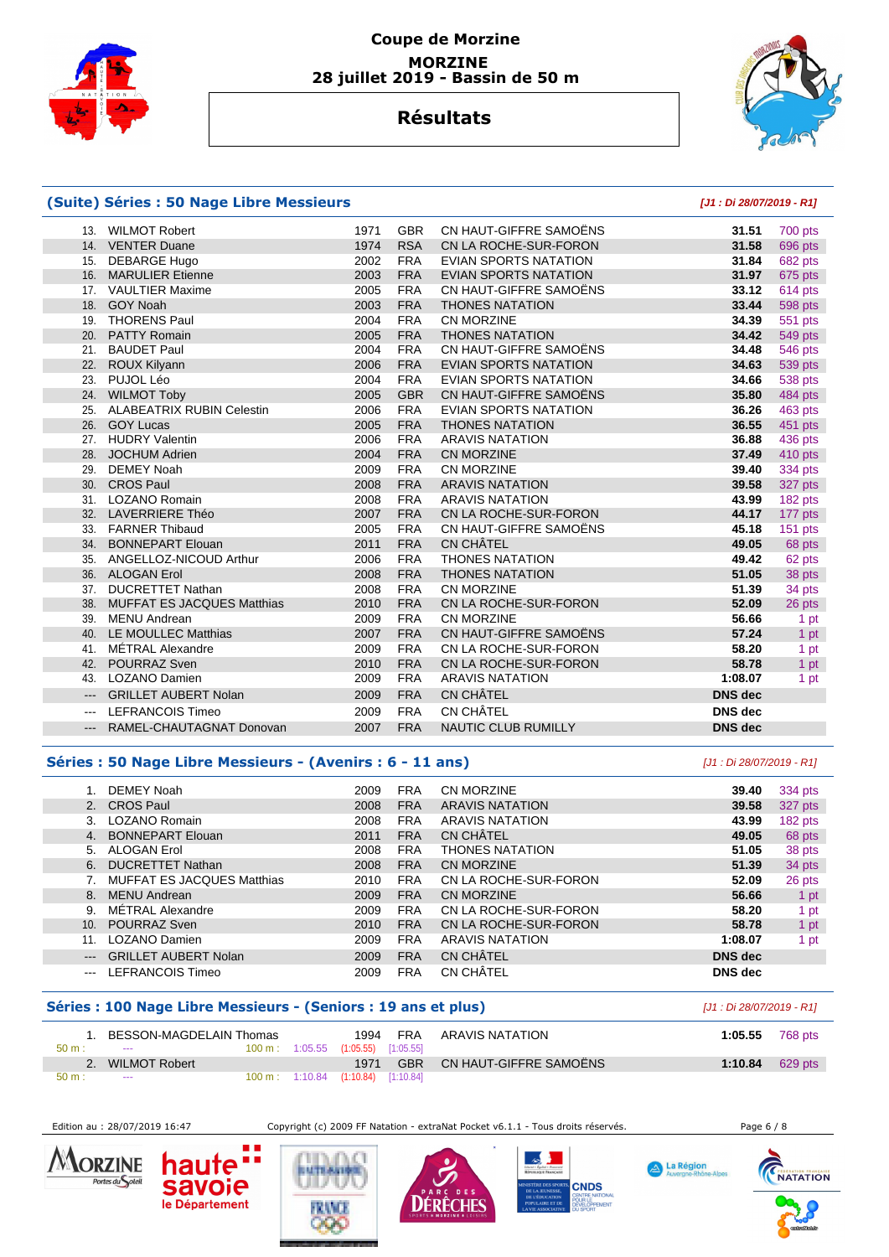



## **Résultats**

#### **(Suite) Séries : 50 Nage Libre Messieurs [J1 : Di 28/07/2019 - R1]** 13. WILMOT Robert 1971 GBR CN HAUT-GIFFRE SAMOËNS **31.51** 700 pts 14. VENTER Duane 1974 RSA CN LA ROCHE-SUR-FORON **31.58** 696 pts 15. DEBARGE Hugo 2002 FRA EVIAN SPORTS NATATION **31.84** 682 pts 16. MARULIER Etienne 2003 FRA EVIAN SPORTS NATATION **31.97** 675 pts 17. VAULTIER Maxime 2005 FRA CN HAUT-GIFFRE SAMOËNS **33.12** 614 pts 18. GOY Noah 2003 FRA THONES NATATION **33.44** 598 pts 19. THORENS Paul 2004 FRA CN MORZINE **34.39** 551 pts 20. PATTY Romain 2005 FRA THONES NATATION **34.42** 549 pts 21. BAUDET Paul 2004 FRA CN HAUT-GIFFRE SAMOËNS **34.48** 546 pts 22. ROUX Kilyann 2006 FRA EVIAN SPORTS NATATION **34.63** 539 pts 23. PUJOL Léo 2004 FRA EVIAN SPORTS NATATION **34.66** 538 pts 24. WILMOT Toby 2005 GBR CN HAUT-GIFFRE SAMOËNS **35.80** 484 pts 25. ALABEATRIX RUBIN Celestin 2006 FRA EVIAN SPORTS NATATION **36.26** 463 pts 26. GOY Lucas 2005 FRA THONES NATATION **36.55** 451 pts 27. HUDRY Valentin 2006 FRA ARAVIS NATATION **36.88** 436 pts 28. JOCHUM Adrien 2004 FRA CN MORZINE **37.49** 410 pts 29. DEMEY Noah 2009 FRA CN MORZINE **39.40** 334 pts 30. CROS Paul 2008 FRA ARAVIS NATATION **39.58** 327 pts 31. LOZANO Romain 2008 FRA ARAVIS NATATION **43.99** 182 pts 32. LAVERRIERE Théo 2007 FRA CN LA ROCHE-SUR-FORON **44.17** 177 pts 33. FARNER Thibaud 2005 FRA CN HAUT-GIFFRE SAMOËNS **45.18** 151 pts 34. BONNEPART Elouan 2011 FRA CN CHÂTEL **49.05** 68 pts 35. ANGELLOZ-NICOUD Arthur 2006 FRA THONES NATATION **49.42** 62 pts 36. ALOGAN Erol 2008 FRA THONES NATATION **51.05** 38 pts 37. DUCRETTET Nathan 2008 FRA CN MORZINE **51.39** 34 pts 38. MUFFAT ES JACQUES Matthias 2010 FRA CN LA ROCHE-SUR-FORON **52.09** 26 pts 39. MENU Andrean 2009 FRA CN MORZINE **56.66** 1 pt 40. LE MOULLEC Matthias 2007 FRA CN HAUT-GIFFRE SAMOËNS **57.24** 1 pt 41. MÉTRAL Alexandre 2009 FRA CN LA ROCHE-SUR-FORON **58.20** 1 pt 42. POURRAZ Sven 2010 FRA CN LA ROCHE-SUR-FORON **58.78** 1 pt 43. LOZANO Damien 2009 FRA ARAVIS NATATION **1:08.07** 1 pt --- GRILLET AUBERT Nolan 2009 FRA CN CHÂTEL **DNS dec**  --- LEFRANCOIS Timeo 2009 FRA CN CHÂTEL **DNS dec**  --- RAMEL-CHAUTAGNAT Donovan 2007 FRA NAUTIC CLUB RUMILLY **DNS dec**

### **Séries : 50 Nage Libre Messieurs - (Avenirs : 6 - 11 ans)** [J1 : Di 28/07/2019 - R1]

|                           | DEMEY Noah                        | 2009 | <b>FRA</b> | CN MORZINE             | 39.40          |         |
|---------------------------|-----------------------------------|------|------------|------------------------|----------------|---------|
|                           |                                   |      |            |                        |                | 334 pts |
| 2.                        | <b>CROS Paul</b>                  | 2008 | <b>FRA</b> | <b>ARAVIS NATATION</b> | 39.58          | 327 pts |
| 3.                        | LOZANO Romain                     | 2008 | <b>FRA</b> | <b>ARAVIS NATATION</b> | 43.99          | 182 pts |
| 4 <sup>1</sup>            | <b>BONNEPART Elouan</b>           | 2011 | <b>FRA</b> | CN CHÂTEL              | 49.05          | 68 pts  |
| 5.                        | ALOGAN Erol                       | 2008 | <b>FRA</b> | <b>THONES NATATION</b> | 51.05          | 38 pts  |
| 6.                        | <b>DUCRETTET Nathan</b>           | 2008 | <b>FRA</b> | CN MORZINE             | 51.39          | 34 pts  |
|                           | <b>MUFFAT ES JACQUES Matthias</b> | 2010 | <b>FRA</b> | CN LA ROCHE-SUR-FORON  | 52.09          | 26 pts  |
| 8.                        | <b>MENU Andrean</b>               | 2009 | <b>FRA</b> | <b>CN MORZINE</b>      | 56.66          | 1 pt    |
| 9.                        | MÉTRAL Alexandre                  | 2009 | <b>FRA</b> | CN LA ROCHE-SUR-FORON  | 58.20          | 1 pt    |
| 10.                       | POURRAZ Sven                      | 2010 | <b>FRA</b> | CN LA ROCHE-SUR-FORON  | 58.78          | 1 pt    |
| 11.                       | LOZANO Damien                     | 2009 | <b>FRA</b> | <b>ARAVIS NATATION</b> | 1:08.07        | 1 pt    |
| $\qquad \qquad -\qquad -$ | <b>GRILLET AUBERT Nolan</b>       | 2009 | <b>FRA</b> | <b>CN CHÂTEL</b>       | <b>DNS</b> dec |         |
|                           | LEFRANCOIS Timeo                  | 2009 | <b>FRA</b> | CN CHÂTEL              | <b>DNS</b> dec |         |

#### **Séries : 100 Nage Libre Messieurs - (Seniors : 19 ans et plus)** [J1 : Di 28/07/2019 - R1]

| 50 m: | BESSON-MAGDELAIN Thomas<br>$- - -$ |  | 1994<br>100 m: 1:05.55 (1:05.55) [1:05.55]       | FRA        | ARAVIS NATATION        | 1:05.55 | 768 pts |
|-------|------------------------------------|--|--------------------------------------------------|------------|------------------------|---------|---------|
|       | <b>WILMOT Robert</b>               |  | 1971                                             | <b>GBR</b> | CN HAUT-GIFFRE SAMOËNS | 1:10.84 | 629 pts |
| 50 m: | $\sim$ $\sim$                      |  | $100 \text{ m}: 1:10.84$ $(1:10.84)$ $[1:10.84]$ |            |                        |         |         |

Edition au : 28/07/2019 16:47 Copyright (c) 2009 FF Natation - extraNat Pocket v6.1.1 - Tous droits réservés.

A La Région









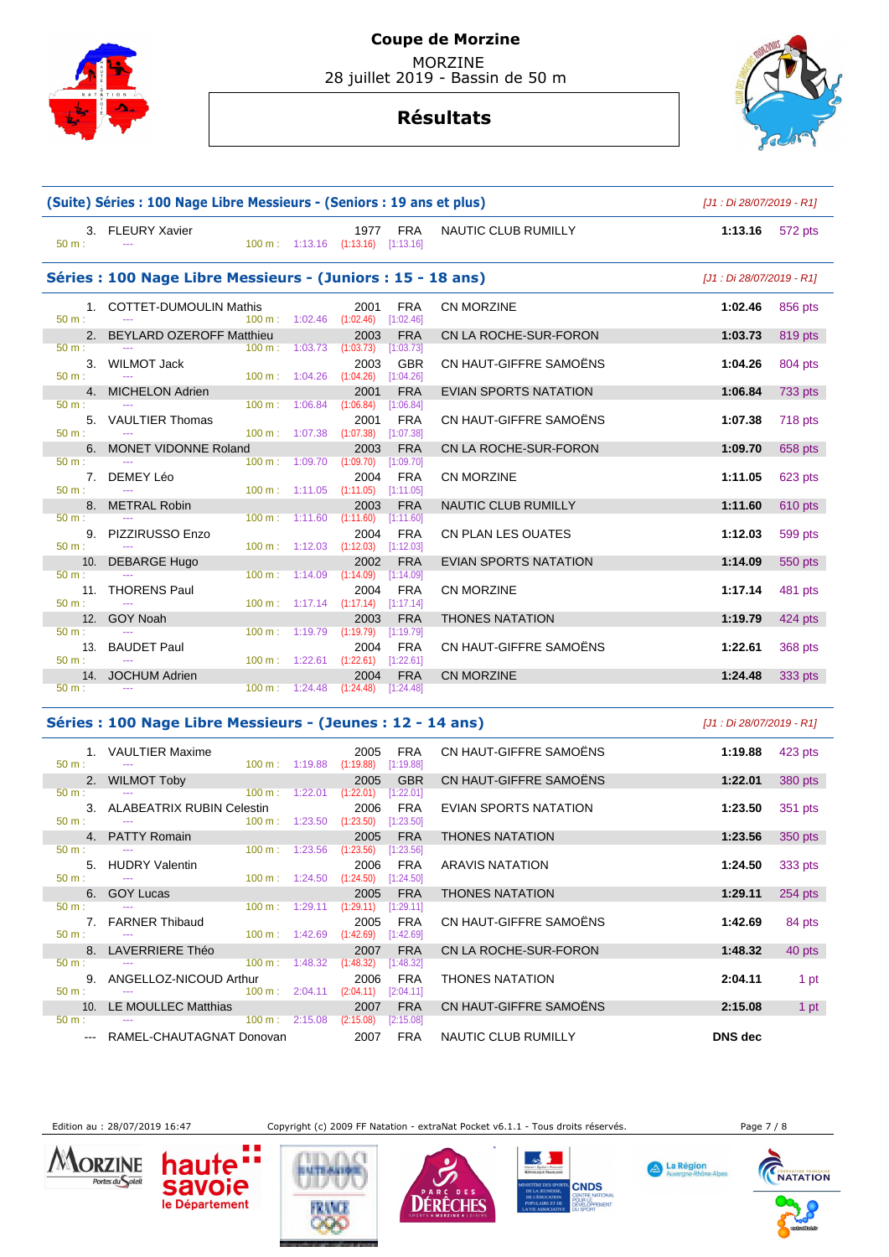

# **Résultats**



|                             | (Suite) Séries : 100 Nage Libre Messieurs - (Seniors : 19 ans et plus) | [J1 : Di 28/07/2019 - R1]                              |                                            |                                      |                              |                           |         |
|-----------------------------|------------------------------------------------------------------------|--------------------------------------------------------|--------------------------------------------|--------------------------------------|------------------------------|---------------------------|---------|
| $50 m$ :                    | 3. FLEURY Xavier<br>$\frac{1}{2}$                                      |                                                        | 1977<br>100 m: 1:13.16 (1:13.16) [1:13.16] | <b>FRA</b>                           | NAUTIC CLUB RUMILLY          | 1:13.16                   | 572 pts |
|                             | Séries : 100 Nage Libre Messieurs - (Juniors : 15 - 18 ans)            |                                                        |                                            |                                      |                              | [J1 : Di 28/07/2019 - R1] |         |
| 1.<br>$50 m$ :              | <b>COTTET-DUMOULIN Mathis</b>                                          | $100 \text{ m}$ : $1:02.46$                            | 2001<br>(1:02.46)                          | <b>FRA</b><br>[1:02.46]              | CN MORZINE                   | 1:02.46                   | 856 pts |
|                             | 2. BEYLARD OZEROFF Matthieu                                            |                                                        | 2003                                       | <b>FRA</b>                           | CN LA ROCHE-SUR-FORON        | 1:03.73                   | 819 pts |
| 50 m:<br>3.<br>$50 m$ :     | <b>WILMOT Jack</b><br>$\sim$ $\sim$                                    | 100 m: 1:03.73<br>100 m: 1:04.26                       | (1:03.73)<br>2003<br>(1:04.26)             | [1:03.73]<br><b>GBR</b><br>[1:04.26] | CN HAUT-GIFFRE SAMOËNS       | 1:04.26                   | 804 pts |
| 4 <sup>1</sup>              | <b>MICHELON Adrien</b>                                                 |                                                        | 2001                                       | <b>FRA</b>                           | EVIAN SPORTS NATATION        | 1:06.84                   | 733 pts |
| $50 m$ :<br>5.<br>$50 m$ :  | <b>VAULTIER Thomas</b>                                                 | 100 m: 1:06.84<br>100 m: 1:07.38                       | (1:06.84)<br>2001<br>(1:07.38)             | [1:06.84]<br><b>FRA</b><br>[1:07.38] | CN HAUT-GIFFRE SAMOËNS       | 1:07.38                   | 718 pts |
| 6.                          | <b>MONET VIDONNE Roland</b>                                            |                                                        | 2003                                       | <b>FRA</b>                           | CN LA ROCHE-SUR-FORON        | 1:09.70                   | 658 pts |
| $50 m$ :<br>50 m:           | 7. DEMEY Léo<br>$\mathbb{Z} \to \mathbb{Z}$                            | 100 m: 1:09.70<br>$100 \text{ m}: 1:11.05$ $(1:11.05)$ | (1:09.70)<br>2004                          | [1:09.70]<br><b>FRA</b><br>[1:11.05] | CN MORZINE                   | 1:11.05                   | 623 pts |
|                             | 8. METRAL Robin                                                        |                                                        | 2003                                       | <b>FRA</b>                           | <b>NAUTIC CLUB RUMILLY</b>   | 1:11.60                   | 610 pts |
| 50 m:<br>9.<br>$50 m$ :     | PIZZIRUSSO Enzo<br>$\sim$ $\sim$                                       | 100 m: 1:11.60<br>$100 \text{ m}: 1:12.03$ $(1:12.03)$ | (1:11.60)<br>2004                          | [1:11.60]<br><b>FRA</b><br>[1:12.03] | <b>CN PLAN LES OUATES</b>    | 1:12.03                   | 599 pts |
| 10.                         | <b>DEBARGE Hugo</b>                                                    |                                                        | 2002                                       | <b>FRA</b>                           | <b>EVIAN SPORTS NATATION</b> | 1:14.09                   | 550 pts |
| $50 m$ :<br>11.<br>$50 m$ : | <b>THORENS Paul</b><br>$\cdots$                                        | 100 m: 1:14.09<br>100 m: 1:17.14                       | (1:14.09)<br>2004<br>(1:17.14)             | [1:14.09]<br><b>FRA</b><br>[1:17.14] | <b>CN MORZINE</b>            | 1:17.14                   | 481 pts |
|                             | 12. GOY Noah                                                           |                                                        | 2003                                       | <b>FRA</b>                           | <b>THONES NATATION</b>       | 1:19.79                   | 424 pts |
| $50 m$ :<br>13.<br>$50 m$ : | <b>BAUDET Paul</b><br>$\sim$                                           | 100 m: 1:19.79<br>$100 \text{ m}: 1:22.61$ $(1:22.61)$ | (1:19.79)<br>2004                          | [1:19.79]<br><b>FRA</b><br>[1:22.61] | CN HAUT-GIFFRE SAMOËNS       | 1:22.61                   | 368 pts |
|                             | 14. JOCHUM Adrien                                                      |                                                        | 2004                                       | <b>FRA</b>                           | <b>CN MORZINE</b>            | 1:24.48                   | 333 pts |
| $50 m$ :                    | $\sim$ $\sim$                                                          | $100 \text{ m}: 1:24.48$                               | (1:24.48)                                  | [1:24.48]                            |                              |                           |         |

### **Séries : 100 Nage Libre Messieurs - (Jeunes : 12 - 14 ans)** [J1 : Di 28/07/2019 - R1]

| $50 \text{ m}$ : $-$ | 1. VAULTIER Maxime                                      | $100 \text{ m}: 1:19.88$ $(1:19.88)$ |                                    | 2005      | <b>FRA</b><br>[1:19.88] | CN HAUT-GIFFRE SAMOËNS | 1:19.88        | 423 pts |
|----------------------|---------------------------------------------------------|--------------------------------------|------------------------------------|-----------|-------------------------|------------------------|----------------|---------|
|                      | 2. WILMOT Toby                                          |                                      |                                    | 2005      | <b>GBR</b>              | CN HAUT-GIFFRE SAMOËNS | 1:22.01        | 380 pts |
| $50 m$ :             | $100 \text{ m}$ : 1:22.01<br>$\sim$ $\sim$              |                                      |                                    | (1:22.01) | [1:22.01]               |                        |                |         |
|                      | 3. ALABEATRIX RUBIN Celestin                            |                                      |                                    | 2006      | <b>FRA</b>              | EVIAN SPORTS NATATION  | 1:23.50        | 351 pts |
| $50 m$ :             | $100 \text{ m}$ : $1:23.50$<br><b>Contract Contract</b> |                                      |                                    | (1:23.50) | [1:23.50]               |                        |                |         |
|                      | 4. PATTY Romain                                         |                                      |                                    | 2005      | <b>FRA</b>              | <b>THONES NATATION</b> | 1:23.56        | 350 pts |
| 50 m:                |                                                         | $100 \text{ m}: 1:23.56$             |                                    | (1:23.56) | [1:23.56]               |                        |                |         |
|                      | 5. HUDRY Valentin                                       |                                      |                                    | 2006      | <b>FRA</b>              | ARAVIS NATATION        | 1:24.50        | 333 pts |
| $50 \text{ m}$ : $-$ |                                                         | $100 \text{ m}: 1:24.50$             |                                    | (1:24.50) | [1:24.50]               |                        |                |         |
|                      | 6. GOY Lucas                                            |                                      |                                    | 2005      | <b>FRA</b>              | <b>THONES NATATION</b> | 1:29.11        | 254 pts |
| $50 m$ :             |                                                         |                                      | $100 \text{ m}: 1:29.11 (1:29.11)$ |           | [1:29.11]               |                        |                |         |
|                      | 7. FARNER Thibaud                                       |                                      |                                    | 2005      | <b>FRA</b>              | CN HAUT-GIFFRE SAMOËNS | 1:42.69        | 84 pts  |
| $50 \text{ m}$ : $-$ |                                                         | $100 \text{ m}: 1:42.69$             |                                    | (1:42.69) | [1:42.69]               |                        |                |         |
|                      | 8. LAVERRIERE Théo                                      |                                      |                                    | 2007      | <b>FRA</b>              | CN LA ROCHE-SUR-FORON  | 1:48.32        | 40 pts  |
| $50 \text{ m}$ :     |                                                         | $100 \text{ m}: 1:48.32$             |                                    | (1:48.32) | [1:48.32]               |                        |                |         |
|                      | 9. ANGELLOZ-NICOUD Arthur                               |                                      |                                    | 2006      | <b>FRA</b>              | <b>THONES NATATION</b> | 2:04.11        | 1 pt    |
| $50 \text{ m}$ :     | $100 \text{ m}$ : 2:04.11 (2:04.11)                     |                                      |                                    |           | [2:04.11]               |                        |                |         |
|                      | 10. LE MOULLEC Matthias                                 |                                      |                                    | 2007      | <b>FRA</b>              | CN HAUT-GIFFRE SAMOËNS | 2:15.08        | 1 pt    |
| $50 \text{ m}$ :     | $100 \text{ m}$ : 2:15.08                               |                                      |                                    | (2:15.08) | [2:15.08]               |                        |                |         |
|                      | --- RAMEL-CHAUTAGNAT Donovan                            |                                      |                                    | 2007      | <b>FRA</b>              | NAUTIC CLUB RUMILLY    | <b>DNS</b> dec |         |

hai

Edition au : 28/07/2019 16:47 Copyright (c) 2009 FF Natation - extraNat Pocket v6.1.1 - Tous droits réservés. Page 7 / 8



H **savoie** le Département







**CINATATION** A La Région